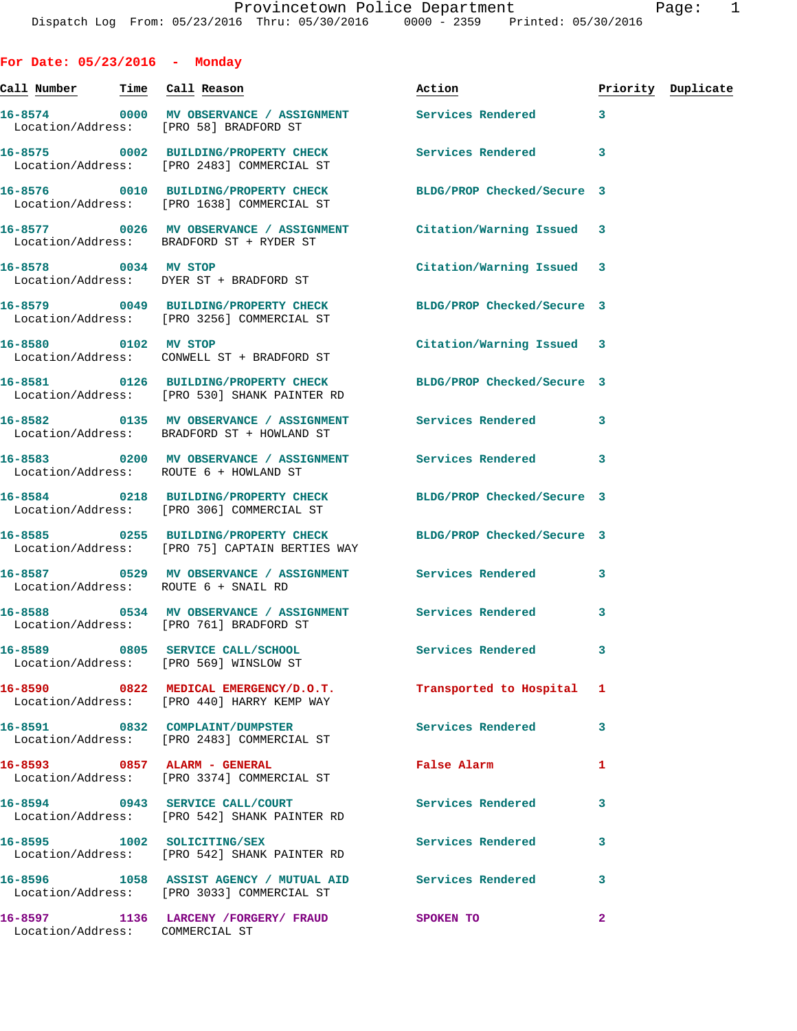**For Date: 05/23/2016 - Monday Call Number Time Call Reason Action Priority Duplicate 16-8574 0000 MV OBSERVANCE / ASSIGNMENT Services Rendered 3**  Location/Address: [PRO 58] BRADFORD ST **16-8575 0002 BUILDING/PROPERTY CHECK Services Rendered 3**  Location/Address: [PRO 2483] COMMERCIAL ST **16-8576 0010 BUILDING/PROPERTY CHECK BLDG/PROP Checked/Secure 3**  Location/Address: [PRO 1638] COMMERCIAL ST **16-8577 0026 MV OBSERVANCE / ASSIGNMENT Citation/Warning Issued 3**  Location/Address: BRADFORD ST + RYDER ST **16-8578 0034 MV STOP Citation/Warning Issued 3**  Location/Address: DYER ST + BRADFORD ST **16-8579 0049 BUILDING/PROPERTY CHECK BLDG/PROP Checked/Secure 3**  Location/Address: [PRO 3256] COMMERCIAL ST **16-8580 0102 MV STOP Citation/Warning Issued 3**  Location/Address: CONWELL ST + BRADFORD ST **16-8581 0126 BUILDING/PROPERTY CHECK BLDG/PROP Checked/Secure 3**  Location/Address: [PRO 530] SHANK PAINTER RD **16-8582 0135 MV OBSERVANCE / ASSIGNMENT Services Rendered 3**  Location/Address: BRADFORD ST + HOWLAND ST **16-8583 0200 MV OBSERVANCE / ASSIGNMENT Services Rendered 3**  Location/Address: ROUTE 6 + HOWLAND ST **16-8584 0218 BUILDING/PROPERTY CHECK BLDG/PROP Checked/Secure 3**  Location/Address: [PRO 306] COMMERCIAL ST **16-8585 0255 BUILDING/PROPERTY CHECK BLDG/PROP Checked/Secure 3**  Location/Address: [PRO 75] CAPTAIN BERTIES WAY **16-8587 0529 MV OBSERVANCE / ASSIGNMENT Services Rendered 3**  Location/Address: ROUTE 6 + SNAIL RD **16-8588 0534 MV OBSERVANCE / ASSIGNMENT Services Rendered 3**  Location/Address: [PRO 761] BRADFORD ST **16-8589 0805 SERVICE CALL/SCHOOL Services Rendered 3**  Location/Address: [PRO 569] WINSLOW ST **16-8590 0822 MEDICAL EMERGENCY/D.O.T. Transported to Hospital 1**  Location/Address: [PRO 440] HARRY KEMP WAY **16-8591 0832 COMPLAINT/DUMPSTER Services Rendered 3**  Location/Address: [PRO 2483] COMMERCIAL ST **16-8593 0857 ALARM - GENERAL False Alarm 1**  Location/Address: [PRO 3374] COMMERCIAL ST **16-8594 0943 SERVICE CALL/COURT Services Rendered 3**  Location/Address: [PRO 542] SHANK PAINTER RD **16-8595 1002 SOLICITING/SEX Services Rendered 3**  Location/Address: [PRO 542] SHANK PAINTER RD **16-8596 1058 ASSIST AGENCY / MUTUAL AID Services Rendered 3**  Location/Address: [PRO 3033] COMMERCIAL ST **16-8597 1136 LARCENY /FORGERY/ FRAUD SPOKEN TO 2** 

Location/Address: COMMERCIAL ST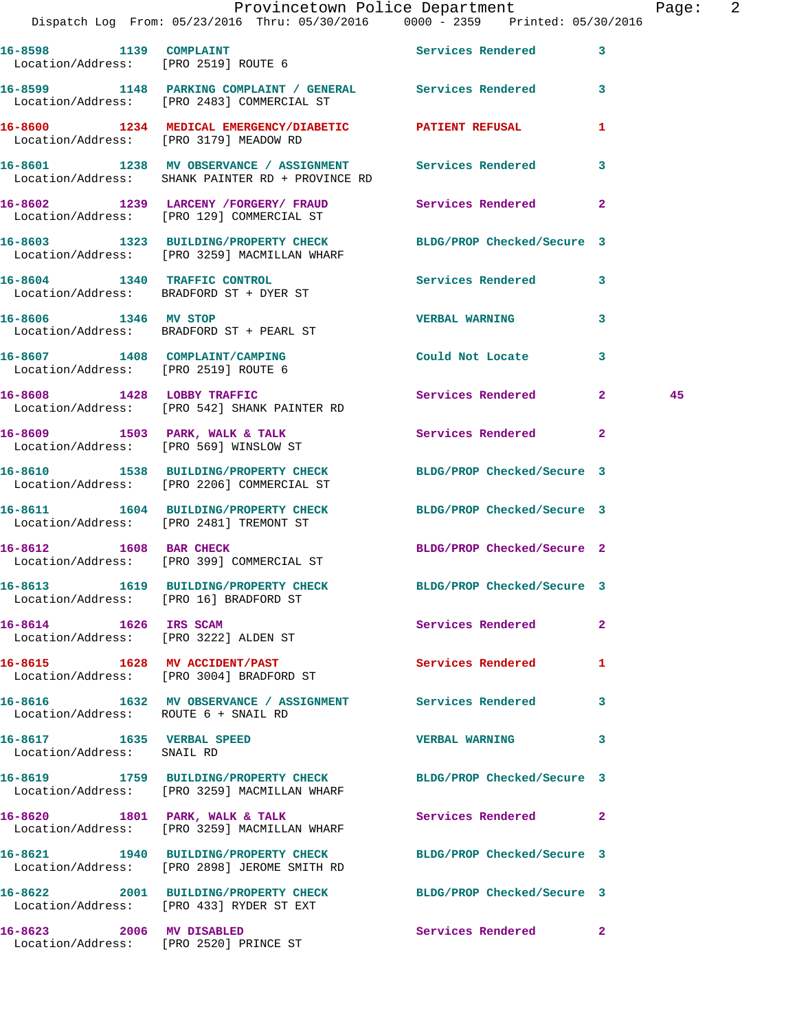|                                                         | Provincetown Police Department<br>Dispatch Log From: 05/23/2016 Thru: 05/30/2016 0000 - 2359 Printed: 05/30/2016 |                            |                | Page: 2 |  |
|---------------------------------------------------------|------------------------------------------------------------------------------------------------------------------|----------------------------|----------------|---------|--|
|                                                         | 16-8598 1139 COMPLAINT Services Rendered 3<br>Location/Address: [PRO 2519] ROUTE 6                               |                            |                |         |  |
|                                                         | 16-8599 1148 PARKING COMPLAINT / GENERAL Services Rendered 3<br>Location/Address: [PRO 2483] COMMERCIAL ST       |                            |                |         |  |
|                                                         | 16-8600 1234 MEDICAL EMERGENCY/DIABETIC PATIENT REFUSAL<br>Location/Address: [PRO 3179] MEADOW RD                |                            | $\mathbf{1}$   |         |  |
|                                                         | 16-8601 1238 MV OBSERVANCE / ASSIGNMENT Services Rendered<br>Location/Address: SHANK PAINTER RD + PROVINCE RD    |                            | 3              |         |  |
|                                                         | 16-8602 1239 LARCENY /FORGERY/ FRAUD Services Rendered<br>Location/Address: [PRO 129] COMMERCIAL ST              |                            | $\overline{2}$ |         |  |
|                                                         | 16-8603 1323 BUILDING/PROPERTY CHECK BLDG/PROP Checked/Secure 3<br>Location/Address: [PRO 3259] MACMILLAN WHARF  |                            |                |         |  |
|                                                         | 16-8604 1340 TRAFFIC CONTROL<br>Location/Address: BRADFORD ST + DYER ST                                          | Services Rendered 3        |                |         |  |
|                                                         | 16-8606 1346 MV STOP<br>Location/Address: BRADFORD ST + PEARL ST                                                 | <b>VERBAL WARNING</b>      | 3              |         |  |
|                                                         | 16-8607 1408 COMPLAINT/CAMPING<br>Location/Address: [PRO 2519] ROUTE 6                                           | Could Not Locate 3         |                |         |  |
|                                                         | 16-8608 1428 LOBBY TRAFFIC<br>Location/Address: [PRO 542] SHANK PAINTER RD                                       | Services Rendered 2        |                | 45      |  |
|                                                         | 16-8609 1503 PARK, WALK & TALK 1988 Services Rendered 2<br>Location/Address: [PRO 569] WINSLOW ST                |                            |                |         |  |
|                                                         | 16-8610 1538 BUILDING/PROPERTY CHECK BLDG/PROP Checked/Secure 3<br>Location/Address: [PRO 2206] COMMERCIAL ST    |                            |                |         |  |
|                                                         | 16-8611 1604 BUILDING/PROPERTY CHECK BLDG/PROP Checked/Secure 3<br>Location/Address: [PRO 2481] TREMONT ST       |                            |                |         |  |
|                                                         | 16-8612 1608 BAR CHECK<br>Location/Address: [PRO 399] COMMERCIAL ST                                              | BLDG/PROP Checked/Secure 2 |                |         |  |
| Location/Address: [PRO 16] BRADFORD ST                  | 16-8613 1619 BUILDING/PROPERTY CHECK                                                                             | BLDG/PROP Checked/Secure 3 |                |         |  |
| 16-8614 1626 IRS SCAM                                   | Location/Address: [PRO 3222] ALDEN ST                                                                            | Services Rendered          | $\mathbf{2}$   |         |  |
|                                                         | 16-8615 1628 MV ACCIDENT/PAST<br>Location/Address: [PRO 3004] BRADFORD ST                                        | <b>Services Rendered</b> 1 |                |         |  |
| Location/Address: ROUTE 6 + SNAIL RD                    | 16-8616 1632 MV OBSERVANCE / ASSIGNMENT Services Rendered                                                        |                            | 3              |         |  |
| 16-8617 1635 VERBAL SPEED<br>Location/Address: SNAIL RD |                                                                                                                  | <b>VERBAL WARNING</b>      | 3              |         |  |
|                                                         | 16-8619 1759 BUILDING/PROPERTY CHECK<br>Location/Address: [PRO 3259] MACMILLAN WHARF                             | BLDG/PROP Checked/Secure 3 |                |         |  |
|                                                         | 16-8620 1801 PARK, WALK & TALK<br>Location/Address: [PRO 3259] MACMILLAN WHARF                                   | Services Rendered 2        |                |         |  |
|                                                         | 16-8621 1940 BUILDING/PROPERTY CHECK<br>Location/Address: [PRO 2898] JEROME SMITH RD                             | BLDG/PROP Checked/Secure 3 |                |         |  |
|                                                         | 16-8622 2001 BUILDING/PROPERTY CHECK BLDG/PROP Checked/Secure 3<br>Location/Address: [PRO 433] RYDER ST EXT      |                            |                |         |  |
| 16-8623 2006 MV DISABLED                                |                                                                                                                  | Services Rendered 2        |                |         |  |

Location/Address: [PRO 2520] PRINCE ST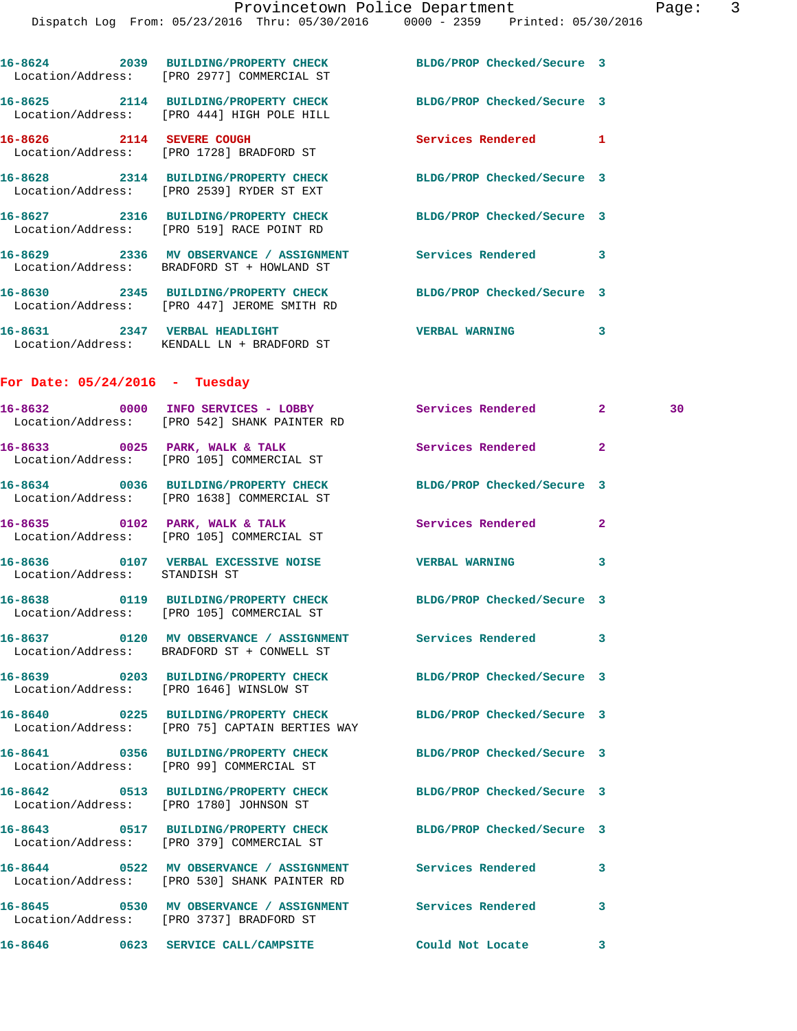|                                         | Dispatch Log From: 05/23/2016 Thru: 05/30/2016 0000 - 2359 Printed: 05/30/2016                                 |                            |   |    |
|-----------------------------------------|----------------------------------------------------------------------------------------------------------------|----------------------------|---|----|
|                                         | 16-8624 2039 BUILDING/PROPERTY CHECK BLDG/PROP Checked/Secure 3<br>Location/Address: [PRO 2977] COMMERCIAL ST  |                            |   |    |
|                                         | 16-8625 2114 BUILDING/PROPERTY CHECK BLDG/PROP Checked/Secure 3<br>Location/Address: [PRO 444] HIGH POLE HILL  |                            |   |    |
|                                         | 16-8626 2114 SEVERE COUGH<br>Location/Address: [PRO 1728] BRADFORD ST                                          | Services Rendered 1        |   |    |
|                                         | 16-8628 2314 BUILDING/PROPERTY CHECK BLDG/PROP Checked/Secure 3<br>Location/Address: [PRO 2539] RYDER ST EXT   |                            |   |    |
|                                         | 16-8627 2316 BUILDING/PROPERTY CHECK<br>Location/Address: [PRO 519] RACE POINT RD                              | BLDG/PROP Checked/Secure 3 |   |    |
|                                         | 16-8629 2336 MV OBSERVANCE / ASSIGNMENT Services Rendered 3<br>Location/Address: BRADFORD ST + HOWLAND ST      |                            |   |    |
|                                         | 16-8630 2345 BUILDING/PROPERTY CHECK BLDG/PROP Checked/Secure 3<br>Location/Address: [PRO 447] JEROME SMITH RD |                            |   |    |
|                                         | 16-8631 2347 VERBAL HEADLIGHT<br>Location/Address: KENDALL LN + BRADFORD ST                                    | <b>VERBAL WARNING</b>      | 3 |    |
| For Date: $05/24/2016$ - Tuesday        |                                                                                                                |                            |   |    |
|                                         | 16-8632 0000 INFO SERVICES - LOBBY Services Rendered 2<br>Location/Address: [PRO 542] SHANK PAINTER RD         |                            |   | 30 |
|                                         | 16-8633 0025 PARK, WALK & TALK<br>Location/Address: [PRO 105] COMMERCIAL ST                                    | Services Rendered 2        |   |    |
|                                         | 16-8634 0036 BUILDING/PROPERTY CHECK BLDG/PROP Checked/Secure 3<br>Location/Address: [PRO 1638] COMMERCIAL ST  |                            |   |    |
|                                         | 16-8635 0102 PARK, WALK & TALK<br>Location/Address: [PRO 105] COMMERCIAL ST                                    | Services Rendered 2        |   |    |
| Location/Address: STANDISH ST           | 16-8636  0107  VERBAL EXCESSIVE NOISE  VERBAL WARNING                                                          |                            | 3 |    |
|                                         | 16-8638 0119 BUILDING/PROPERTY CHECK<br>Location/Address: [PRO 105] COMMERCIAL ST                              | BLDG/PROP Checked/Secure 3 |   |    |
|                                         | 16-8637  0120 MV OBSERVANCE / ASSIGNMENT Services Rendered<br>Location/Address: BRADFORD ST + CONWELL ST       |                            | 3 |    |
|                                         | 16-8639 0203 BUILDING/PROPERTY CHECK<br>Location/Address: [PRO 1646] WINSLOW ST                                | BLDG/PROP Checked/Secure 3 |   |    |
|                                         | 16-8640 0225 BUILDING/PROPERTY CHECK<br>Location/Address: [PRO 75] CAPTAIN BERTIES WAY                         | BLDG/PROP Checked/Secure 3 |   |    |
|                                         | 16-8641 0356 BUILDING/PROPERTY CHECK<br>Location/Address: [PRO 99] COMMERCIAL ST                               | BLDG/PROP Checked/Secure 3 |   |    |
| Location/Address: [PRO 1780] JOHNSON ST | 16-8642 0513 BUILDING/PROPERTY CHECK                                                                           | BLDG/PROP Checked/Secure 3 |   |    |
|                                         | 16-8643 0517 BUILDING/PROPERTY CHECK BLDG/PROP Checked/Secure 3<br>Location/Address: [PRO 379] COMMERCIAL ST   |                            |   |    |
|                                         | 16-8644 0522 MV OBSERVANCE / ASSIGNMENT Services Rendered<br>Location/Address: [PRO 530] SHANK PAINTER RD      |                            | 3 |    |
|                                         | 16-8645  0530 MV OBSERVANCE / ASSIGNMENT Services Rendered<br>Location/Address: [PRO 3737] BRADFORD ST         |                            | 3 |    |

**16-8646 0623 SERVICE CALL/CAMPSITE Could Not Locate 3**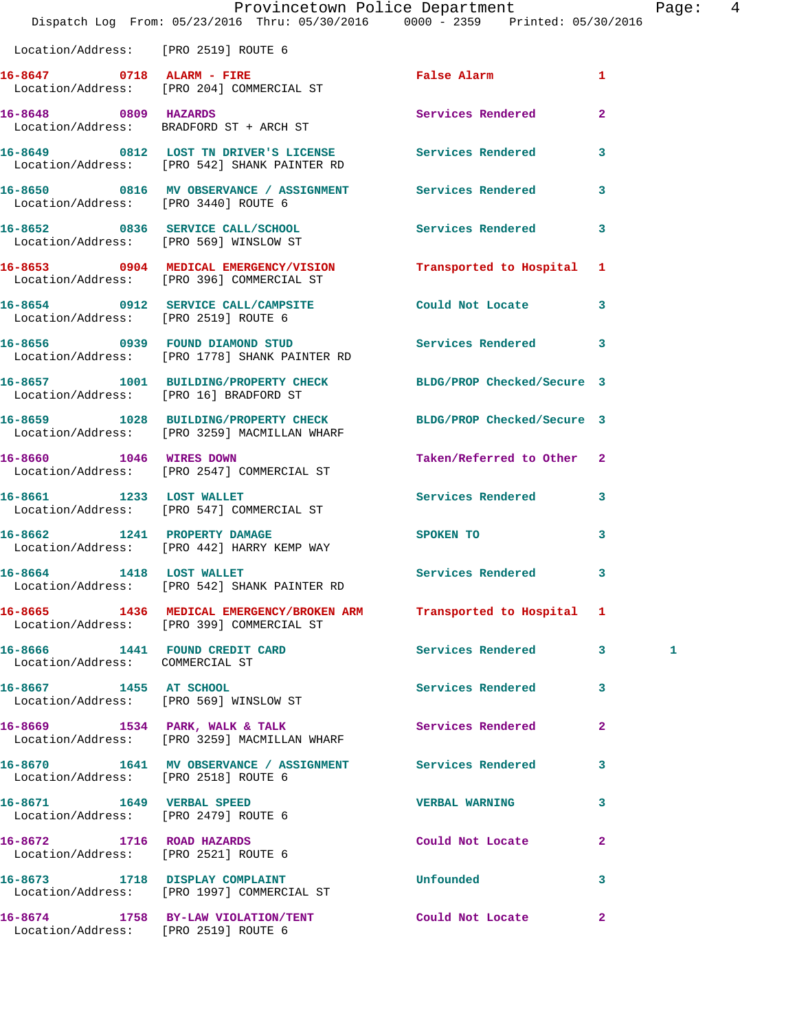|                                        | Dispatch Log From: 05/23/2016 Thru: 05/30/2016 0000 - 2359 Printed: 05/30/2016                                   | Provincetown Police Department       |                | Page: 4 |  |
|----------------------------------------|------------------------------------------------------------------------------------------------------------------|--------------------------------------|----------------|---------|--|
| Location/Address: [PRO 2519] ROUTE 6   |                                                                                                                  |                                      |                |         |  |
|                                        | 16-8647 0718 ALARM - FIRE<br>Location/Address: [PRO 204] COMMERCIAL ST                                           | False Alarm <b>Francisco Execute</b> | 1              |         |  |
| 16-8648 0809 HAZARDS                   | Location/Address: BRADFORD ST + ARCH ST                                                                          | Services Rendered                    | $\mathbf{2}$   |         |  |
|                                        |                                                                                                                  |                                      | $\mathbf{3}$   |         |  |
| Location/Address: [PRO 3440] ROUTE 6   | 16-8650 0816 MV OBSERVANCE / ASSIGNMENT Services Rendered                                                        |                                      | 3              |         |  |
|                                        | 16-8652 0836 SERVICE CALL/SCHOOL<br>Location/Address: [PRO 569] WINSLOW ST                                       | Services Rendered 3                  |                |         |  |
|                                        | 16-8653 0904 MEDICAL EMERGENCY/VISION<br>Location/Address: [PRO 396] COMMERCIAL ST                               | Transported to Hospital 1            |                |         |  |
| Location/Address: [PRO 2519] ROUTE 6   | 16-8654 0912 SERVICE CALL/CAMPSITE Could Not Locate 3                                                            |                                      |                |         |  |
|                                        | 16-8656 0939 FOUND DIAMOND STUD<br>Location/Address: [PRO 1778] SHANK PAINTER RD                                 | Services Rendered 3                  |                |         |  |
| Location/Address: [PRO 16] BRADFORD ST | 16-8657 1001 BUILDING/PROPERTY CHECK BLDG/PROP Checked/Secure 3                                                  |                                      |                |         |  |
|                                        | 16-8659 1028 BUILDING/PROPERTY CHECK<br>Location/Address: [PRO 3259] MACMILLAN WHARF                             | BLDG/PROP Checked/Secure 3           |                |         |  |
| 16-8660 1046 WIRES DOWN                | Location/Address: [PRO 2547] COMMERCIAL ST                                                                       | Taken/Referred to Other 2            |                |         |  |
|                                        | 16-8661 1233 LOST WALLET<br>Location/Address: [PRO 547] COMMERCIAL ST                                            | Services Rendered 3                  |                |         |  |
| 16-8662 1241 PROPERTY DAMAGE           | Location/Address: [PRO 442] HARRY KEMP WAY                                                                       | SPOKEN TO THE STATE OF THE SPOKEN TO | 3              |         |  |
| 16-8664 1418 LOST WALLET               | Location/Address: [PRO 542] SHANK PAINTER RD                                                                     | Services Rendered                    | 3              |         |  |
|                                        | 16-8665 1436 MEDICAL EMERGENCY/BROKEN ARM Transported to Hospital 1<br>Location/Address: [PRO 399] COMMERCIAL ST |                                      |                |         |  |
| Location/Address: COMMERCIAL ST        | 16-8666 1441 FOUND CREDIT CARD                                                                                   | Services Rendered 3                  |                | 1       |  |
| 16-8667 1455 AT SCHOOL                 | Location/Address: [PRO 569] WINSLOW ST                                                                           | Services Rendered 3                  |                |         |  |
|                                        | 16-8669 1534 PARK, WALK & TALK<br>Location/Address: [PRO 3259] MACMILLAN WHARF                                   | Services Rendered                    | $\mathbf{2}$   |         |  |
| Location/Address: [PRO 2518] ROUTE 6   | 16-8670 1641 MV OBSERVANCE / ASSIGNMENT Services Rendered 3                                                      |                                      |                |         |  |
| Location/Address: [PRO 2479] ROUTE 6   | 16-8671 1649 VERBAL SPEED                                                                                        | <b>VERBAL WARNING</b>                | 3              |         |  |
|                                        | 16-8672 1716 ROAD HAZARDS<br>Location/Address: [PRO 2521] ROUTE 6                                                | Could Not Locate                     | $\overline{2}$ |         |  |
|                                        | 16-8673 1718 DISPLAY COMPLAINT<br>Location/Address: [PRO 1997] COMMERCIAL ST                                     | <b>Unfounded</b>                     | 3              |         |  |
|                                        | 16-8674 1758 BY-LAW VIOLATION/TENT                                                                               | Could Not Locate 2                   |                |         |  |

Location/Address: [PRO 2519] ROUTE 6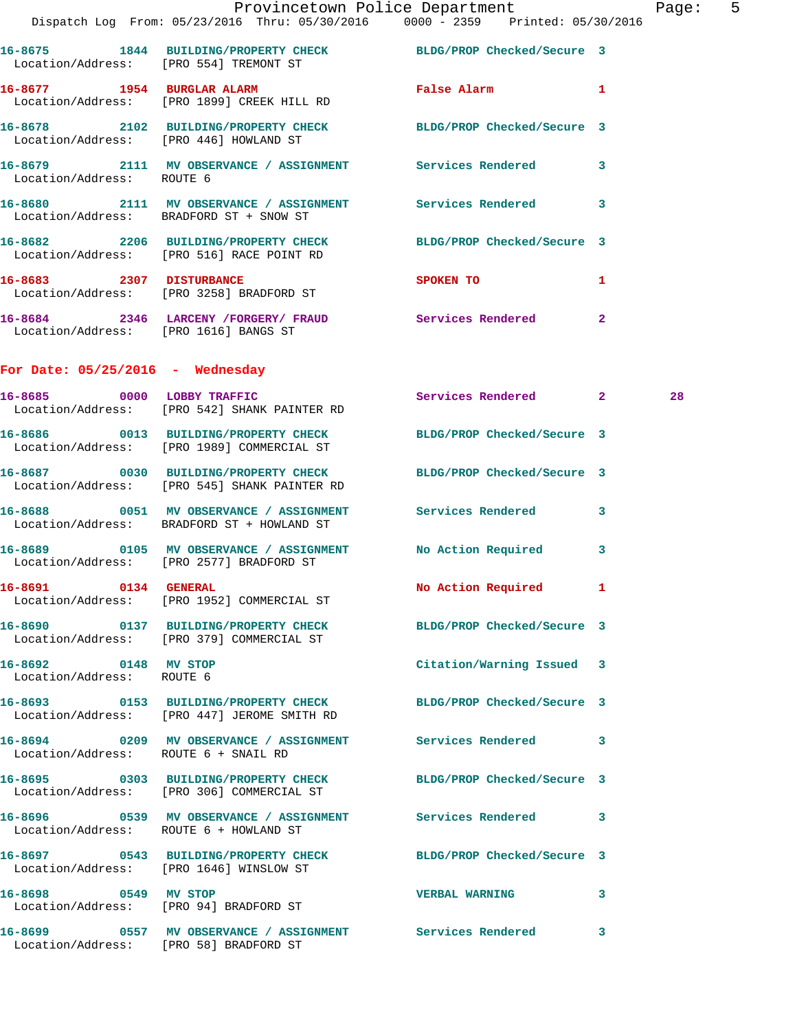|                                                   | Provincetown Police Department Page: 5<br>Dispatch Log From: 05/23/2016 Thru: 05/30/2016 0000 - 2359 Printed: 05/30/2016 |                           |              |    |  |
|---------------------------------------------------|--------------------------------------------------------------------------------------------------------------------------|---------------------------|--------------|----|--|
|                                                   | 16-8675 1844 BUILDING/PROPERTY CHECK BLDG/PROP Checked/Secure 3<br>Location/Address: [PRO 554] TREMONT ST                |                           |              |    |  |
|                                                   | 16-8677 1954 BURGLAR ALARM<br>Location/Address: [PRO 1899] CREEK HILL RD                                                 | False Alarm 1             |              |    |  |
| Location/Address: [PRO 446] HOWLAND ST            | 16-8678 2102 BUILDING/PROPERTY CHECK BLDG/PROP Checked/Secure 3                                                          |                           |              |    |  |
| Location/Address: ROUTE 6                         | 16-8679 2111 MV OBSERVANCE / ASSIGNMENT Services Rendered 3                                                              |                           |              |    |  |
| Location/Address: BRADFORD ST + SNOW ST           | 16-8680 2111 MV OBSERVANCE / ASSIGNMENT Services Rendered 3                                                              |                           |              |    |  |
|                                                   | 16-8682 2206 BUILDING/PROPERTY CHECK BLDG/PROP Checked/Secure 3<br>Location/Address: [PRO 516] RACE POINT RD             |                           |              |    |  |
|                                                   | 16-8683 2307 DISTURBANCE<br>Location/Address: [PRO 3258] BRADFORD ST                                                     | <b>SPOKEN TO</b>          | $\mathbf{1}$ |    |  |
| Location/Address: [PRO 1616] BANGS ST             | 16-8684 2346 LARCENY / FORGERY / FRAUD Services Rendered                                                                 |                           | $\mathbf{2}$ |    |  |
| For Date: $05/25/2016$ - Wednesday                |                                                                                                                          |                           |              |    |  |
|                                                   | 16-8685 0000 LOBBY TRAFFIC<br>Location/Address: [PRO 542] SHANK PAINTER RD                                               | Services Rendered 2       |              | 28 |  |
|                                                   | 16-8686 0013 BUILDING/PROPERTY CHECK BLDG/PROP Checked/Secure 3<br>Location/Address: [PRO 1989] COMMERCIAL ST            |                           |              |    |  |
|                                                   | 16-8687 0030 BUILDING/PROPERTY CHECK BLDG/PROP Checked/Secure 3<br>Location/Address: [PRO 545] SHANK PAINTER RD          |                           |              |    |  |
|                                                   | 16-8688 0051 MV OBSERVANCE / ASSIGNMENT Services Rendered 3<br>Location/Address: BRADFORD ST + HOWLAND ST                |                           |              |    |  |
|                                                   | Location/Address: [PRO 2577] BRADFORD ST                                                                                 |                           |              |    |  |
| 16-8691 0134 GENERAL                              | Location/Address: [PRO 1952] COMMERCIAL ST                                                                               | No Action Required 1      |              |    |  |
|                                                   | 16-8690 0137 BUILDING/PROPERTY CHECK BLDG/PROP Checked/Secure 3<br>Location/Address: [PRO 379] COMMERCIAL ST             |                           |              |    |  |
| 16-8692 0148 MV STOP<br>Location/Address: ROUTE 6 |                                                                                                                          | Citation/Warning Issued 3 |              |    |  |
|                                                   | 16-8693 0153 BUILDING/PROPERTY CHECK BLDG/PROP Checked/Secure 3<br>Location/Address: [PRO 447] JEROME SMITH RD           |                           |              |    |  |
| Location/Address: ROUTE 6 + SNAIL RD              | 16-8694 0209 MV OBSERVANCE / ASSIGNMENT Services Rendered 3                                                              |                           |              |    |  |
|                                                   | 16-8695 0303 BUILDING/PROPERTY CHECK BLDG/PROP Checked/Secure 3<br>Location/Address: [PRO 306] COMMERCIAL ST             |                           |              |    |  |
| Location/Address: ROUTE 6 + HOWLAND ST            |                                                                                                                          |                           |              |    |  |
| Location/Address: [PRO 1646] WINSLOW ST           | 16-8697 0543 BUILDING/PROPERTY CHECK BLDG/PROP Checked/Secure 3                                                          |                           |              |    |  |
| 16-8698 0549 MV STOP                              | Location/Address: [PRO 94] BRADFORD ST                                                                                   | VERBAL WARNING 3          |              |    |  |
| Location/Address: [PRO 58] BRADFORD ST            |                                                                                                                          |                           |              |    |  |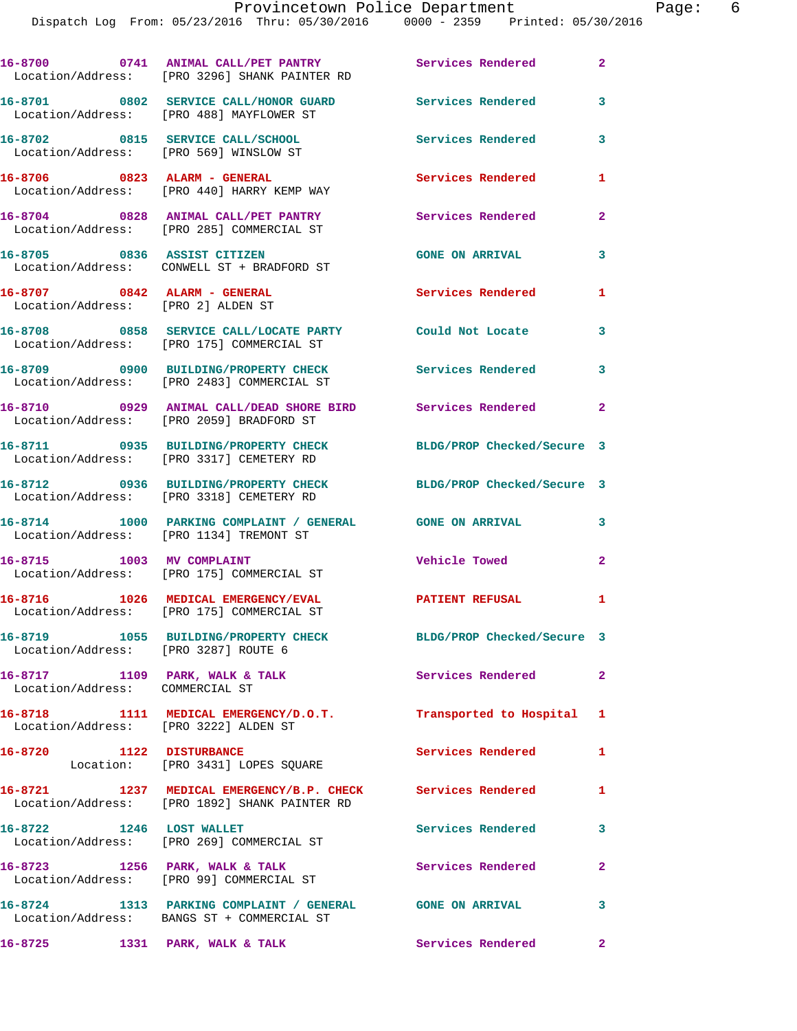|                                                                    | 16-8700 0741 ANIMAL CALL/PET PANTRY<br>Location/Address: [PRO 3296] SHANK PAINTER RD                         | Services Rendered          | $\mathbf{2}$   |
|--------------------------------------------------------------------|--------------------------------------------------------------------------------------------------------------|----------------------------|----------------|
|                                                                    | 16-8701 0802 SERVICE CALL/HONOR GUARD Services Rendered<br>Location/Address: [PRO 488] MAYFLOWER ST          |                            | 3              |
| Location/Address: [PRO 569] WINSLOW ST                             | 16-8702 0815 SERVICE CALL/SCHOOL                                                                             | Services Rendered          | 3              |
|                                                                    | 16-8706 0823 ALARM - GENERAL<br>Location/Address: [PRO 440] HARRY KEMP WAY                                   | Services Rendered          | 1              |
|                                                                    | 16-8704 0828 ANIMAL CALL/PET PANTRY<br>Location/Address: [PRO 285] COMMERCIAL ST                             | Services Rendered          | $\mathbf{2}$   |
|                                                                    | 16-8705 0836 ASSIST CITIZEN<br>Location/Address: CONWELL ST + BRADFORD ST                                    | <b>GONE ON ARRIVAL</b>     | 3              |
| 16-8707 0842 ALARM - GENERAL<br>Location/Address: [PRO 2] ALDEN ST |                                                                                                              | Services Rendered          | 1              |
|                                                                    | 16-8708 0858 SERVICE CALL/LOCATE PARTY Could Not Locate<br>Location/Address: [PRO 175] COMMERCIAL ST         |                            | 3              |
|                                                                    | 16-8709 0900 BUILDING/PROPERTY CHECK<br>Location/Address: [PRO 2483] COMMERCIAL ST                           | <b>Services Rendered</b>   | 3              |
|                                                                    | 16-8710 0929 ANIMAL CALL/DEAD SHORE BIRD Services Rendered<br>Location/Address: [PRO 2059] BRADFORD ST       |                            | $\mathbf{2}$   |
|                                                                    | 16-8711 0935 BUILDING/PROPERTY CHECK<br>Location/Address: [PRO 3317] CEMETERY RD                             | BLDG/PROP Checked/Secure 3 |                |
|                                                                    | 16-8712 0936 BUILDING/PROPERTY CHECK<br>Location/Address: [PRO 3318] CEMETERY RD                             | BLDG/PROP Checked/Secure 3 |                |
|                                                                    | 16-8714 1000 PARKING COMPLAINT / GENERAL GONE ON ARRIVAL<br>Location/Address: [PRO 1134] TREMONT ST          |                            | 3              |
| 16-8715 1003 MV COMPLAINT                                          | Location/Address: [PRO 175] COMMERCIAL ST                                                                    | Vehicle Towed              | $\overline{2}$ |
|                                                                    | 16-8716 1026 MEDICAL EMERGENCY/EVAL<br>Location/Address: [PRO 175] COMMERCIAL ST                             | PATIENT REFUSAL            | 1              |
| Location/Address: [PRO 3287] ROUTE 6                               | 16-8719 1055 BUILDING/PROPERTY CHECK                                                                         | BLDG/PROP Checked/Secure 3 |                |
| Location/Address: COMMERCIAL ST                                    | 16-8717 1109 PARK, WALK & TALK                                                                               | Services Rendered 2        |                |
| Location/Address: [PRO 3222] ALDEN ST                              | 16-8718 1111 MEDICAL EMERGENCY/D.O.T.                                                                        | Transported to Hospital 1  |                |
| 16-8720 1122 DISTURBANCE                                           | Location: [PRO 3431] LOPES SQUARE                                                                            | <b>Services Rendered</b>   | $\mathbf{1}$   |
|                                                                    | 16-8721 1237 MEDICAL EMERGENCY/B.P. CHECK Services Rendered<br>Location/Address: [PRO 1892] SHANK PAINTER RD |                            | $\mathbf{1}$   |
| 16-8722 1246 LOST WALLET                                           | Location/Address: [PRO 269] COMMERCIAL ST                                                                    | Services Rendered          | 3              |
|                                                                    | 16-8723 1256 PARK, WALK & TALK<br>Location/Address: [PRO 99] COMMERCIAL ST                                   | <b>Services Rendered</b>   | $\overline{2}$ |
|                                                                    | 16-8724 1313 PARKING COMPLAINT / GENERAL GONE ON ARRIVAL<br>Location/Address: BANGS ST + COMMERCIAL ST       |                            | 3              |
| 16-8725                                                            | 1331 PARK, WALK & TALK                                                                                       | <b>Services Rendered</b>   | 2 <sup>1</sup> |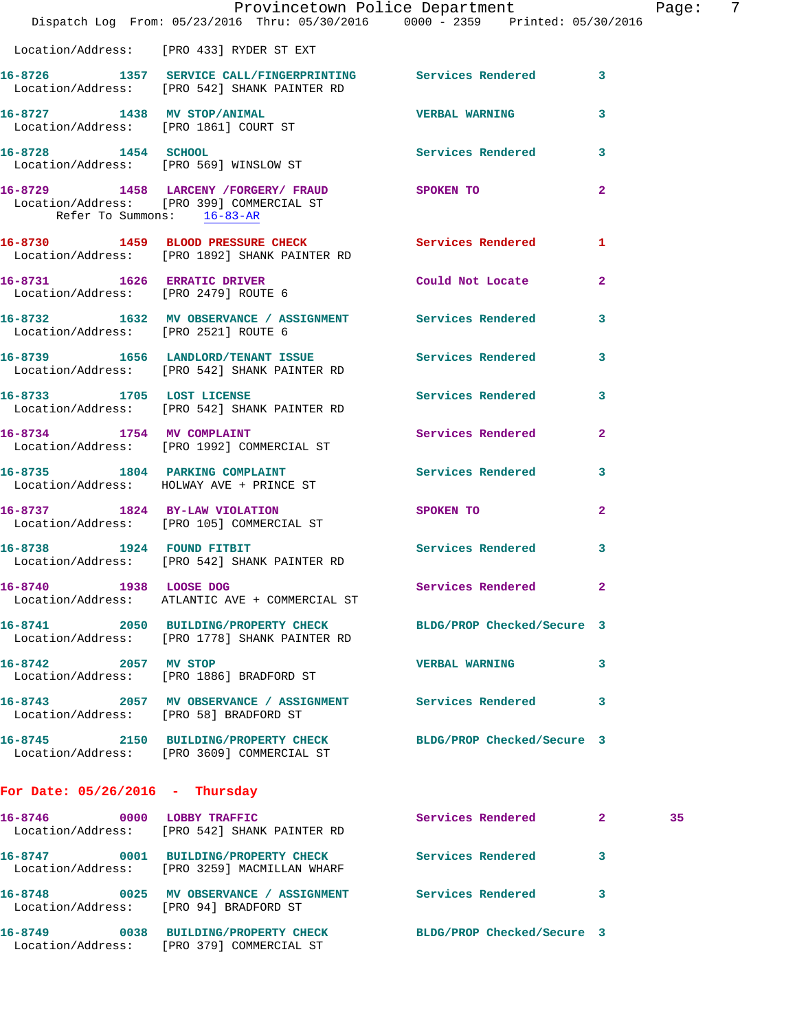|                                        |                                                                                                                  | Provincetown Police Department |                | Page: | 7 |
|----------------------------------------|------------------------------------------------------------------------------------------------------------------|--------------------------------|----------------|-------|---|
|                                        | Dispatch Log From: 05/23/2016 Thru: 05/30/2016 0000 - 2359 Printed: 05/30/2016                                   |                                |                |       |   |
|                                        | Location/Address: [PRO 433] RYDER ST EXT                                                                         |                                |                |       |   |
|                                        | 16-8726 1357 SERVICE CALL/FINGERPRINTING Services Rendered 3<br>Location/Address: [PRO 542] SHANK PAINTER RD     |                                |                |       |   |
|                                        | 16-8727 1438 MV STOP/ANIMAL<br>Location/Address: [PRO 1861] COURT ST                                             | <b>VERBAL WARNING</b>          | 3              |       |   |
| 16-8728 1454 SCHOOL                    | Location/Address: [PRO 569] WINSLOW ST                                                                           | Services Rendered 3            |                |       |   |
| Refer To Summons: 16-83-AR             | 16-8729 1458 LARCENY /FORGERY FRAUD SPOKEN TO<br>Location/Address: [PRO 399] COMMERCIAL ST                       |                                | $\overline{2}$ |       |   |
|                                        | 16-8730 1459 BLOOD PRESSURE CHECK Services Rendered 1<br>Location/Address: [PRO 1892] SHANK PAINTER RD           |                                |                |       |   |
|                                        | 16-8731 1626 ERRATIC DRIVER<br>Location/Address: [PRO 2479] ROUTE 6                                              | Could Not Locate               | $\mathbf{2}$   |       |   |
| Location/Address: [PRO 2521] ROUTE 6   | 16-8732 1632 MV OBSERVANCE / ASSIGNMENT Services Rendered 3                                                      |                                |                |       |   |
|                                        | 16-8739 1656 LANDLORD/TENANT ISSUE Services Rendered 3<br>Location/Address: [PRO 542] SHANK PAINTER RD           |                                |                |       |   |
|                                        | 16-8733 1705 LOST LICENSE<br>Location/Address: [PRO 542] SHANK PAINTER RD                                        | Services Rendered              | 3              |       |   |
| 16-8734 1754 MV COMPLAINT              | Location/Address: [PRO 1992] COMMERCIAL ST                                                                       | Services Rendered              | $\overline{2}$ |       |   |
|                                        | 16-8735 1804 PARKING COMPLAINT<br>Location/Address: HOLWAY AVE + PRINCE ST                                       | Services Rendered 3            |                |       |   |
|                                        | 16-8737 1824 BY-LAW VIOLATION<br>Location/Address: [PRO 105] COMMERCIAL ST                                       | SPOKEN TO                      | $\overline{2}$ |       |   |
|                                        | 16-8738 1924 FOUND FITBIT<br>Location/Address: [PRO 542] SHANK PAINTER RD                                        | Services Rendered 3            |                |       |   |
| 16-8740 1938 LOOSE DOG                 | Location/Address: ATLANTIC AVE + COMMERCIAL ST                                                                   | Services Rendered              |                |       |   |
|                                        | 16-8741 2050 BUILDING/PROPERTY CHECK BLDG/PROP Checked/Secure 3<br>Location/Address: [PRO 1778] SHANK PAINTER RD |                                |                |       |   |
| 16-8742 2057 MV STOP                   | Location/Address: [PRO 1886] BRADFORD ST                                                                         | <b>VERBAL WARNING</b>          | 3              |       |   |
| Location/Address: [PRO 58] BRADFORD ST | 16-8743 2057 MV OBSERVANCE / ASSIGNMENT Services Rendered                                                        |                                | 3              |       |   |
|                                        | 16-8745 2150 BUILDING/PROPERTY CHECK BLDG/PROP Checked/Secure 3<br>Location/Address: [PRO 3609] COMMERCIAL ST    |                                |                |       |   |
| For Date: $05/26/2016$ - Thursday      |                                                                                                                  |                                |                |       |   |
| 16-8746 0000 LOBBY TRAFFIC             | Location/Address: [PRO 542] SHANK PAINTER RD                                                                     | Services Rendered 2            |                | 35    |   |
|                                        | 16-8747 0001 BUILDING/PROPERTY CHECK Services Rendered<br>Location/Address: [PRO 3259] MACMILLAN WHARF           |                                | 3              |       |   |
| Location/Address: [PRO 94] BRADFORD ST | 16-8748 0025 MV OBSERVANCE / ASSIGNMENT Services Rendered                                                        |                                | 3              |       |   |
|                                        | 16-8749 0038 BUILDING/PROPERTY CHECK BLDG/PROP Checked/Secure 3<br>Location/Address: [PRO 379] COMMERCIAL ST     |                                |                |       |   |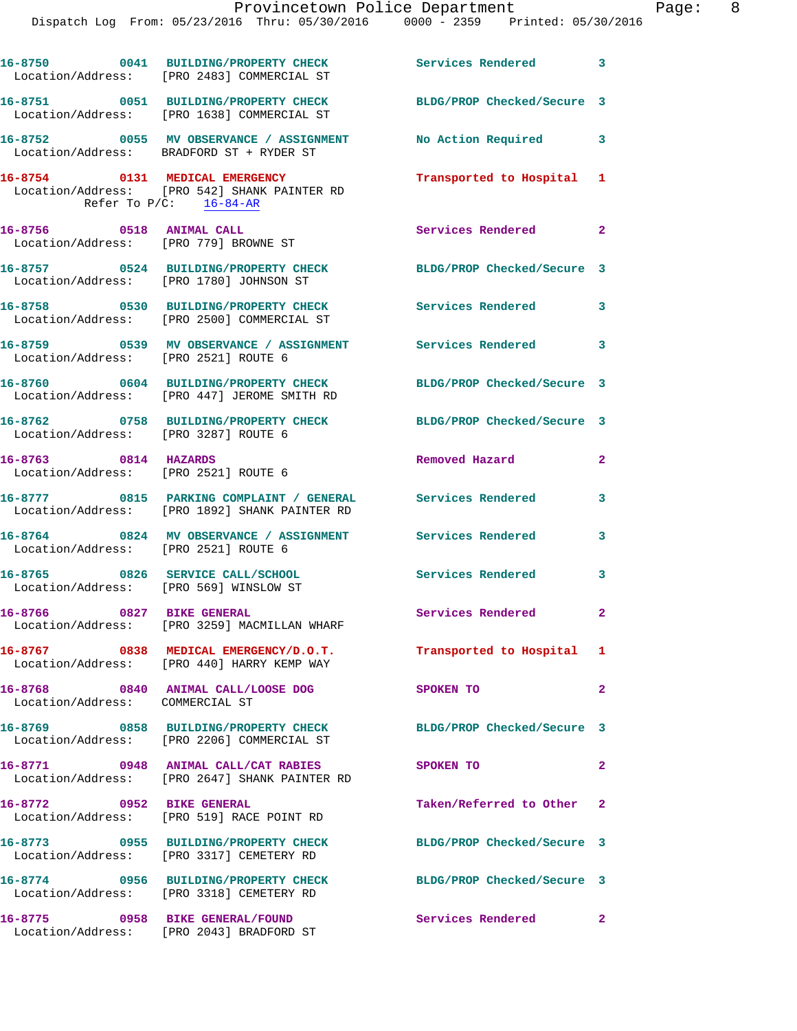|                                                                            | 16-8750 0041 BUILDING/PROPERTY CHECK Services Rendered 3<br>Location/Address: [PRO 2483] COMMERCIAL ST        |                            |                |
|----------------------------------------------------------------------------|---------------------------------------------------------------------------------------------------------------|----------------------------|----------------|
|                                                                            | 16-8751 0051 BUILDING/PROPERTY CHECK<br>Location/Address: [PRO 1638] COMMERCIAL ST                            | BLDG/PROP Checked/Secure 3 |                |
|                                                                            | 16-8752 0055 MV OBSERVANCE / ASSIGNMENT<br>Location/Address: BRADFORD ST + RYDER ST                           | No Action Required 3       |                |
|                                                                            | 16-8754 0131 MEDICAL EMERGENCY<br>Location/Address: [PRO 542] SHANK PAINTER RD<br>Refer To $P/C$ : $16-84-AR$ | Transported to Hospital 1  |                |
| 16-8756 0518 ANIMAL CALL                                                   | Location/Address: [PRO 779] BROWNE ST                                                                         | Services Rendered          | $\sim$ 2       |
|                                                                            | 16-8757 0524 BUILDING/PROPERTY CHECK<br>Location/Address: [PRO 1780] JOHNSON ST                               | BLDG/PROP Checked/Secure 3 |                |
|                                                                            | 16-8758 0530 BUILDING/PROPERTY CHECK<br>Location/Address: [PRO 2500] COMMERCIAL ST                            | Services Rendered 3        |                |
| Location/Address: [PRO 2521] ROUTE 6                                       | 16-8759 		 0539 MV OBSERVANCE / ASSIGNMENT Services Rendered 3                                                |                            |                |
|                                                                            | 16-8760 0604 BUILDING/PROPERTY CHECK<br>Location/Address: [PRO 447] JEROME SMITH RD                           | BLDG/PROP Checked/Secure 3 |                |
| Location/Address: [PRO 3287] ROUTE 6                                       | 16-8762 0758 BUILDING/PROPERTY CHECK                                                                          | BLDG/PROP Checked/Secure 3 |                |
| 16-8763 0814 HAZARDS<br>Location/Address: [PRO 2521] ROUTE 6               |                                                                                                               | Removed Hazard             | $\mathbf{2}$   |
|                                                                            | 16-8777 0815 PARKING COMPLAINT / GENERAL<br>Location/Address: [PRO 1892] SHANK PAINTER RD                     | Services Rendered          | 3              |
| Location/Address: [PRO 2521] ROUTE 6                                       | 16-8764 0824 MV OBSERVANCE / ASSIGNMENT Services Rendered                                                     |                            | 3              |
| 16-8765 0826 SERVICE CALL/SCHOOL<br>Location/Address: [PRO 569] WINSLOW ST |                                                                                                               | <b>Services Rendered</b>   | 3              |
| 16-8766 0827 BIKE GENERAL                                                  | Location/Address: [PRO 3259] MACMILLAN WHARF                                                                  | Services Rendered          | $\overline{2}$ |
|                                                                            | 16-8767 0838 MEDICAL EMERGENCY/D.O.T.<br>Location/Address: [PRO 440] HARRY KEMP WAY                           | Transported to Hospital 1  |                |
| Location/Address: COMMERCIAL ST                                            | 16-8768 0840 ANIMAL CALL/LOOSE DOG                                                                            | <b>SPOKEN TO</b>           | $\mathbf{2}$   |
|                                                                            | 16-8769 0858 BUILDING/PROPERTY CHECK BLDG/PROP Checked/Secure 3<br>Location/Address: [PRO 2206] COMMERCIAL ST |                            |                |
|                                                                            | 16-8771 0948 ANIMAL CALL/CAT RABIES<br>Location/Address: [PRO 2647] SHANK PAINTER RD                          | SPOKEN TO                  | $\mathbf{2}$   |
| 16-8772 0952 BIKE GENERAL                                                  | Location/Address: [PRO 519] RACE POINT RD                                                                     | Taken/Referred to Other 2  |                |
|                                                                            | 16-8773 0955 BUILDING/PROPERTY CHECK<br>Location/Address: [PRO 3317] CEMETERY RD                              | BLDG/PROP Checked/Secure 3 |                |
|                                                                            | 16-8774 0956 BUILDING/PROPERTY CHECK BLDG/PROP Checked/Secure 3<br>Location/Address: [PRO 3318] CEMETERY RD   |                            |                |
|                                                                            | 16-8775 0958 BIKE GENERAL/FOUND<br>Location/Address: [PRO 2043] BRADFORD ST                                   | Services Rendered          | -2             |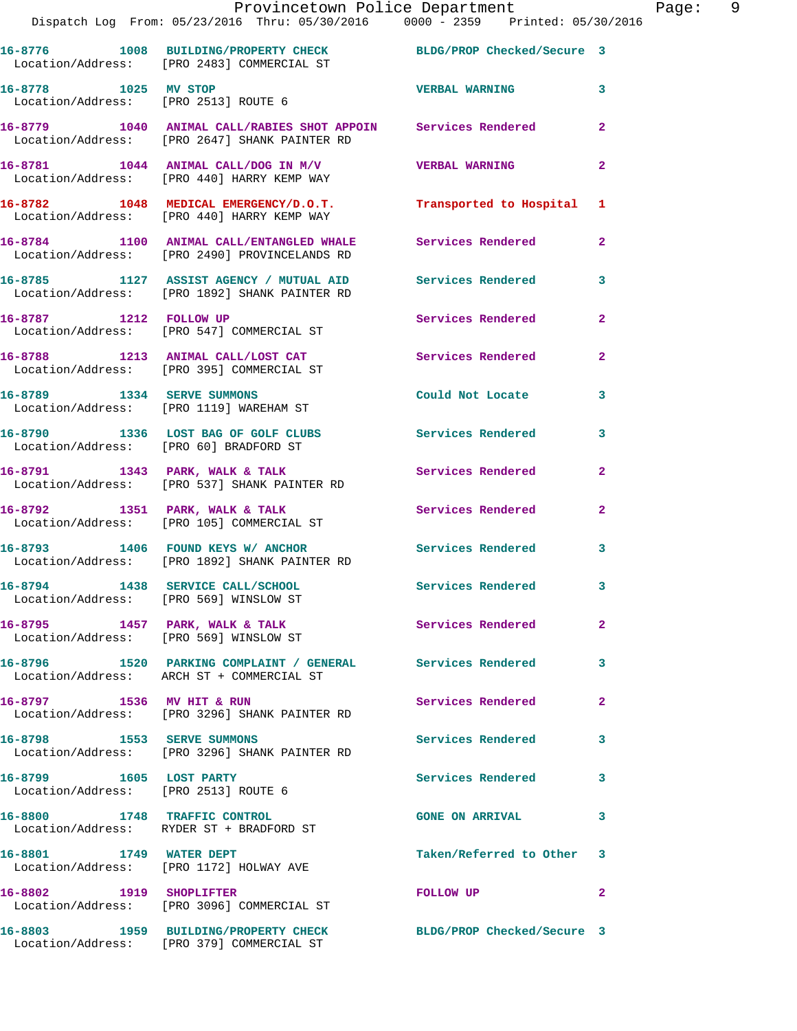|                                                                    | Provincetown Police Department<br>Dispatch Log From: 05/23/2016 Thru: 05/30/2016 0000 - 2359 Printed: 05/30/2016 |                            |                |
|--------------------------------------------------------------------|------------------------------------------------------------------------------------------------------------------|----------------------------|----------------|
|                                                                    |                                                                                                                  |                            |                |
|                                                                    | 16-8776 1008 BUILDING/PROPERTY CHECK BLDG/PROP Checked/Secure 3<br>Location/Address: [PRO 2483] COMMERCIAL ST    |                            |                |
| 16-8778 1025 MV STOP<br>Location/Address: [PRO 2513] ROUTE 6       |                                                                                                                  | <b>VERBAL WARNING</b>      | 3              |
|                                                                    | 16-8779 1040 ANIMAL CALL/RABIES SHOT APPOIN Services Rendered<br>Location/Address: [PRO 2647] SHANK PAINTER RD   |                            | $\overline{2}$ |
|                                                                    | 16-8781 1044 ANIMAL CALL/DOG IN M/V<br>Location/Address: [PRO 440] HARRY KEMP WAY                                | <b>VERBAL WARNING</b>      | 2              |
|                                                                    | 16-8782 1048 MEDICAL EMERGENCY/D.O.T.<br>Location/Address: [PRO 440] HARRY KEMP WAY                              | Transported to Hospital    | 1              |
|                                                                    | 16-8784 1100 ANIMAL CALL/ENTANGLED WHALE Services Rendered<br>Location/Address: [PRO 2490] PROVINCELANDS RD      |                            | $\mathbf{2}$   |
|                                                                    | 16-8785 1127 ASSIST AGENCY / MUTUAL AID Services Rendered<br>Location/Address: [PRO 1892] SHANK PAINTER RD       |                            | 3              |
|                                                                    | 16-8787 1212 FOLLOW UP<br>Location/Address: [PRO 547] COMMERCIAL ST                                              | Services Rendered          | 2              |
|                                                                    | 16-8788 1213 ANIMAL CALL/LOST CAT Services Rendered<br>Location/Address: [PRO 395] COMMERCIAL ST                 |                            | $\overline{a}$ |
| Location/Address: [PRO 1119] WAREHAM ST                            | 16-8789 1334 SERVE SUMMONS                                                                                       | Could Not Locate           | 3              |
| Location/Address: [PRO 60] BRADFORD ST                             | 16-8790 1336 LOST BAG OF GOLF CLUBS                                                                              | Services Rendered          | 3              |
|                                                                    | 16-8791 1343 PARK, WALK & TALK<br>Location/Address: [PRO 537] SHANK PAINTER RD                                   | Services Rendered          | 2              |
|                                                                    | 16-8792 1351 PARK, WALK & TALK<br>Location/Address: [PRO 105] COMMERCIAL ST                                      | Services Rendered          | 2              |
|                                                                    | 16-8793 1406 FOUND KEYS W/ ANCHOR<br>Location/Address: [PRO 1892] SHANK PAINTER RD                               | <b>Services Rendered</b>   | 3              |
| Location/Address: [PRO 569] WINSLOW ST                             | 16-8794 1438 SERVICE CALL/SCHOOL                                                                                 | <b>Services Rendered</b>   |                |
|                                                                    | 16-8795 1457 PARK, WALK & TALK<br>Location/Address: [PRO 569] WINSLOW ST                                         | Services Rendered          | $\overline{a}$ |
|                                                                    | 16-8796 1520 PARKING COMPLAINT / GENERAL Services Rendered<br>Location/Address: ARCH ST + COMMERCIAL ST          |                            | 3              |
|                                                                    | 16-8797 1536 MV HIT & RUN<br>Location/Address: [PRO 3296] SHANK PAINTER RD                                       | <b>Services Rendered</b>   | 2              |
| 16-8798 1553 SERVE SUMMONS                                         | Location/Address: [PRO 3296] SHANK PAINTER RD                                                                    | <b>Services Rendered</b>   | 3              |
| 16-8799 1605 LOST PARTY<br>Location/Address: [PRO 2513] ROUTE 6    |                                                                                                                  | Services Rendered          | 3              |
| 16-8800 1748 TRAFFIC CONTROL                                       | Location/Address: RYDER ST + BRADFORD ST                                                                         | <b>GONE ON ARRIVAL</b>     | 3              |
| 16-8801 1749 WATER DEPT<br>Location/Address: [PRO 1172] HOLWAY AVE |                                                                                                                  | Taken/Referred to Other    | 3              |
| 16-8802 1919 SHOPLIFTER                                            | Location/Address: [PRO 3096] COMMERCIAL ST                                                                       | <b>FOLLOW UP</b>           | 2              |
|                                                                    | 16-8803 1959 BUILDING/PROPERTY CHECK<br>Location/Address: [PRO 379] COMMERCIAL ST                                | BLDG/PROP Checked/Secure 3 |                |

Page: 9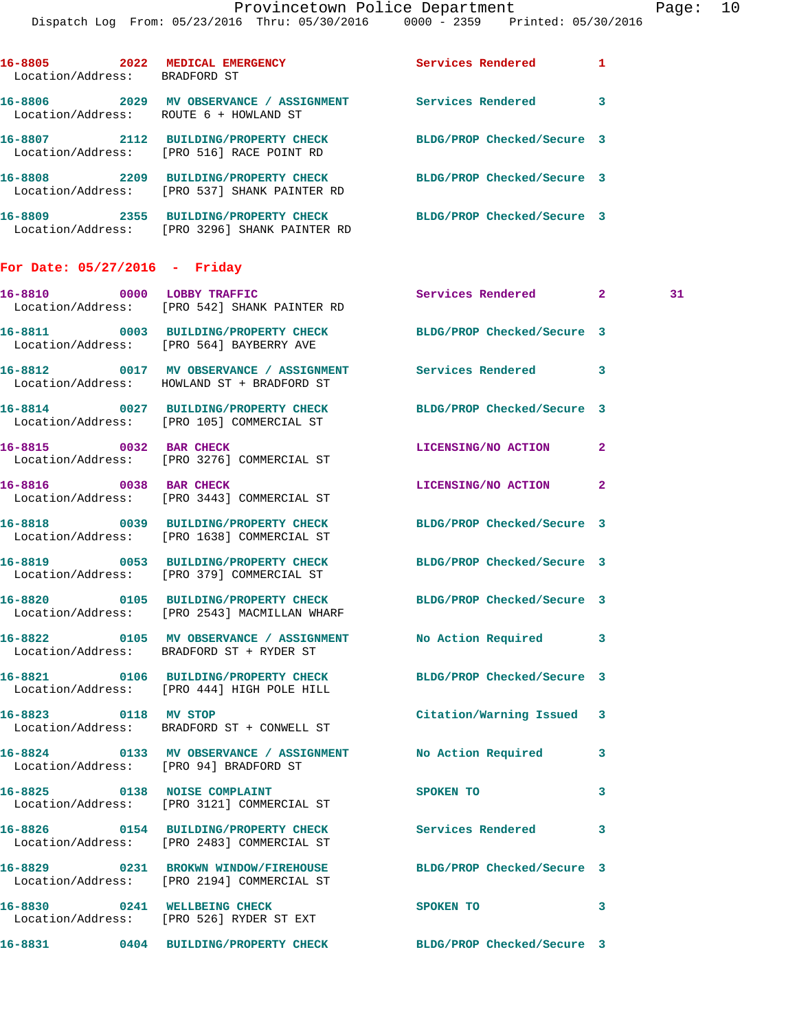| 16-8805<br>Location/Address: | 2022 | MEDICAL EMERGENCY<br>BRADFORD ST                                                | Services Rendered          | 1 |
|------------------------------|------|---------------------------------------------------------------------------------|----------------------------|---|
| 16-8806<br>Location/Address: | 2029 | MV OBSERVANCE / ASSIGNMENT<br>ROUTE 6 + HOWLAND ST                              | Services Rendered          | 3 |
| 16-8807<br>Location/Address: | 2112 | <b>BUILDING/PROPERTY CHECK</b><br>[PRO 516] RACE POINT RD                       | BLDG/PROP Checked/Secure 3 |   |
| 16-8808<br>Location/Address: | 2209 | <b>BUILDING/PROPERTY CHECK</b><br>FRO 5371 SHANK PAINTER RD                     | BLDG/PROP Checked/Secure 3 |   |
| 16-8809                      | 2355 | <b>BUILDING/PROPERTY CHECK</b><br>Location/Address: [PRO 3296] SHANK PAINTER RD | BLDG/PROP Checked/Secure 3 |   |
|                              |      |                                                                                 |                            |   |

## **For Date: 05/27/2016 - Friday**

| 16-8810 0000 LOBBY TRAFFIC   | Location/Address: [PRO 542] SHANK PAINTER RD                                                                    | Services Rendered 2        |                | 31 |
|------------------------------|-----------------------------------------------------------------------------------------------------------------|----------------------------|----------------|----|
| 16-8811                      | 0003 BUILDING/PROPERTY CHECK<br>Location/Address: [PRO 564] BAYBERRY AVE                                        | BLDG/PROP Checked/Secure 3 |                |    |
|                              | 16-8812 0017 MV OBSERVANCE / ASSIGNMENT Services Rendered 3<br>Location/Address: HOWLAND ST + BRADFORD ST       |                            |                |    |
|                              | 16-8814 0027 BUILDING/PROPERTY CHECK BLDG/PROP Checked/Secure 3<br>Location/Address: [PRO 105] COMMERCIAL ST    |                            |                |    |
| 16-8815 0032 BAR CHECK       | Location/Address: [PRO 3276] COMMERCIAL ST                                                                      | LICENSING/NO ACTION        | $\overline{2}$ |    |
| 16-8816 0038 BAR CHECK       | Location/Address: [PRO 3443] COMMERCIAL ST                                                                      | <b>LICENSING/NO ACTION</b> | $\overline{2}$ |    |
|                              | 16-8818 0039 BUILDING/PROPERTY CHECK<br>Location/Address: [PRO 1638] COMMERCIAL ST                              | BLDG/PROP Checked/Secure 3 |                |    |
|                              | 16-8819 0053 BUILDING/PROPERTY CHECK BLDG/PROP Checked/Secure 3<br>Location/Address: [PRO 379] COMMERCIAL ST    |                            |                |    |
|                              | 16-8820 0105 BUILDING/PROPERTY CHECK BLDG/PROP Checked/Secure 3<br>Location/Address: [PRO 2543] MACMILLAN WHARF |                            |                |    |
|                              | 16-8822 0105 MV OBSERVANCE / ASSIGNMENT<br>Location/Address: BRADFORD ST + RYDER ST                             | <b>No Action Required</b>  | $\mathbf{3}$   |    |
|                              | 16-8821 0106 BUILDING/PROPERTY CHECK BLDG/PROP Checked/Secure 3<br>Location/Address: [PRO 444] HIGH POLE HILL   |                            |                |    |
| 16-8823 0118 MV STOP         | Location/Address: BRADFORD ST + CONWELL ST                                                                      | Citation/Warning Issued 3  |                |    |
|                              | 16-8824 0133 MV OBSERVANCE / ASSIGNMENT No Action Required<br>Location/Address: [PRO 94] BRADFORD ST            |                            | 3              |    |
| 16-8825 0138 NOISE COMPLAINT | Location/Address: [PRO 3121] COMMERCIAL ST                                                                      | SPOKEN TO                  | 3              |    |
|                              | 16-8826 0154 BUILDING/PROPERTY CHECK<br>Location/Address: [PRO 2483] COMMERCIAL ST                              | Services Rendered          | 3              |    |
| 16-8829                      | 0231 BROKWN WINDOW/FIREHOUSE BLDG/PROP Checked/Secure 3<br>Location/Address: [PRO 2194] COMMERCIAL ST           |                            |                |    |
|                              | 16-8830 0241 WELLBEING CHECK<br>Location/Address: [PRO 526] RYDER ST EXT                                        | <b>SPOKEN TO</b>           | 3              |    |
|                              | 16-8831 0404 BUILDING/PROPERTY CHECK BLDG/PROP Checked/Secure 3                                                 |                            |                |    |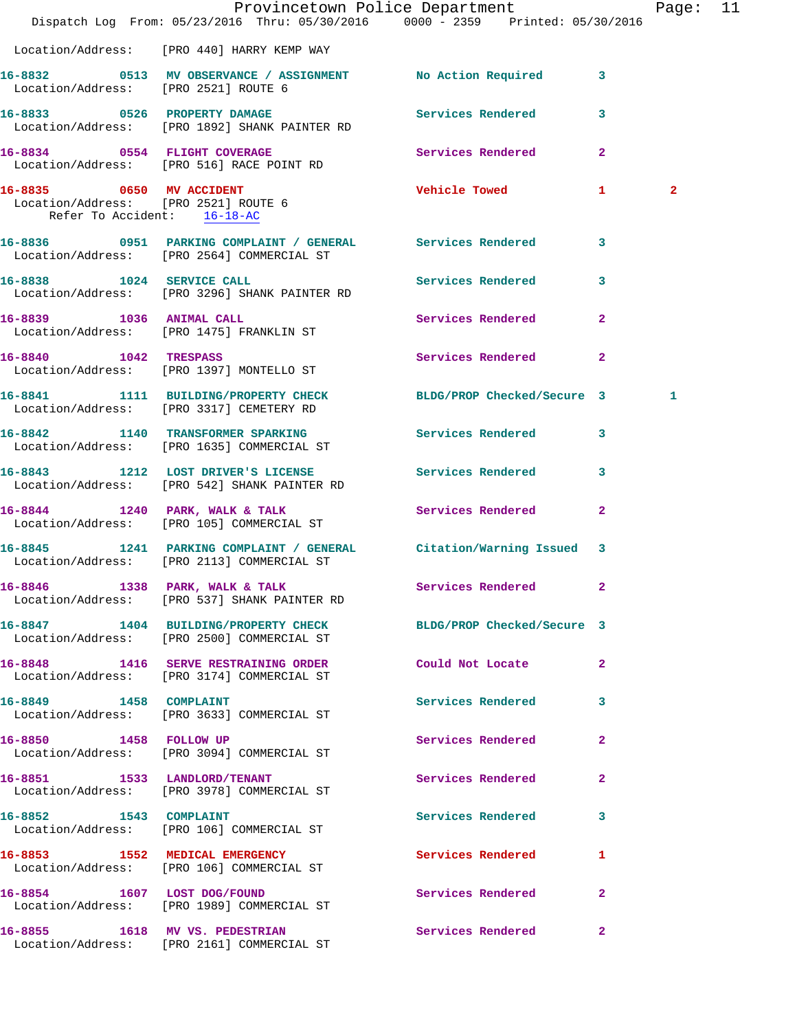|                                                                     | Dispatch Log From: 05/23/2016 Thru: 05/30/2016 0000 - 2359 Printed: 05/30/2016                                   | Provincetown Police Department Page: 11 |                |                |  |
|---------------------------------------------------------------------|------------------------------------------------------------------------------------------------------------------|-----------------------------------------|----------------|----------------|--|
|                                                                     | Location/Address: [PRO 440] HARRY KEMP WAY                                                                       |                                         |                |                |  |
| Location/Address: [PRO 2521] ROUTE 6                                | 16-8832 0513 MV OBSERVANCE / ASSIGNMENT No Action Required 3                                                     |                                         |                |                |  |
|                                                                     | 16-8833 0526 PROPERTY DAMAGE<br>Location/Address: [PRO 1892] SHANK PAINTER RD                                    | <b>Services Rendered</b>                | 3              |                |  |
|                                                                     | 16-8834 0554 FLIGHT COVERAGE<br>Location/Address: [PRO 516] RACE POINT RD                                        | Services Rendered                       | $\mathbf{2}$   |                |  |
| Location/Address: [PRO 2521] ROUTE 6<br>Refer To Accident: 16-18-AC | 16-8835 0650 MV ACCIDENT                                                                                         | <b>Vehicle Towed</b>                    | $\mathbf{1}$   | $\overline{a}$ |  |
|                                                                     | 16-8836  0951 PARKING COMPLAINT / GENERAL Services Rendered<br>Location/Address: [PRO 2564] COMMERCIAL ST        |                                         | 3              |                |  |
|                                                                     | 16-8838 1024 SERVICE CALL<br>Location/Address: [PRO 3296] SHANK PAINTER RD                                       | Services Rendered                       | 3              |                |  |
|                                                                     | 16-8839 1036 ANIMAL CALL<br>Location/Address: [PRO 1475] FRANKLIN ST                                             | Services Rendered                       | $\overline{2}$ |                |  |
| 16-8840 1042 TRESPASS                                               | Location/Address: [PRO 1397] MONTELLO ST                                                                         | Services Rendered                       | $\mathbf{2}$   |                |  |
|                                                                     | 16-8841 1111 BUILDING/PROPERTY CHECK BLDG/PROP Checked/Secure 3<br>Location/Address: [PRO 3317] CEMETERY RD      |                                         |                | 1              |  |
|                                                                     | 16-8842 1140 TRANSFORMER SPARKING<br>Location/Address: [PRO 1635] COMMERCIAL ST                                  | Services Rendered 3                     |                |                |  |
|                                                                     | 16-8843 1212 LOST DRIVER'S LICENSE<br>Location/Address: [PRO 542] SHANK PAINTER RD                               | Services Rendered                       | 3              |                |  |
|                                                                     | 16-8844 1240 PARK, WALK & TALK 1988 Services Rendered<br>Location/Address: [PRO 105] COMMERCIAL ST               |                                         | $\mathbf{2}$   |                |  |
|                                                                     | 16-8845 1241 PARKING COMPLAINT / GENERAL Citation/Warning Issued 3<br>Location/Address: [PRO 2113] COMMERCIAL ST |                                         |                |                |  |
|                                                                     | 16-8846 1338 PARK, WALK & TALK<br>Location/Address: [PRO 537] SHANK PAINTER RD                                   | Services Rendered 2                     |                |                |  |
|                                                                     | 16-8847 1404 BUILDING/PROPERTY CHECK BLDG/PROP Checked/Secure 3<br>Location/Address: [PRO 2500] COMMERCIAL ST    |                                         |                |                |  |
|                                                                     | 16-8848 1416 SERVE RESTRAINING ORDER<br>Location/Address: [PRO 3174] COMMERCIAL ST                               | Could Not Locate                        | $\overline{2}$ |                |  |
|                                                                     | 16-8849 1458 COMPLAINT<br>Location/Address: [PRO 3633] COMMERCIAL ST                                             | Services Rendered                       | 3              |                |  |
| 16-8850 1458 FOLLOW UP                                              | Location/Address: [PRO 3094] COMMERCIAL ST                                                                       | Services Rendered                       | $\mathbf{2}$   |                |  |
|                                                                     | 16-8851 1533 LANDLORD/TENANT<br>Location/Address: [PRO 3978] COMMERCIAL ST                                       | <b>Services Rendered</b>                | $\mathbf{2}$   |                |  |
| 16-8852 1543 COMPLAINT                                              | Location/Address: [PRO 106] COMMERCIAL ST                                                                        | Services Rendered                       | 3              |                |  |
|                                                                     | 16-8853 1552 MEDICAL EMERGENCY<br>Location/Address: [PRO 106] COMMERCIAL ST                                      | Services Rendered                       | 1              |                |  |
| 16-8854 1607 LOST DOG/FOUND                                         | Location/Address: [PRO 1989] COMMERCIAL ST                                                                       | Services Rendered                       | $\mathbf{2}$   |                |  |
|                                                                     | 16-8855 1618 MV VS. PEDESTRIAN<br>Location/Address: [PRO 2161] COMMERCIAL ST                                     | Services Rendered                       | 2              |                |  |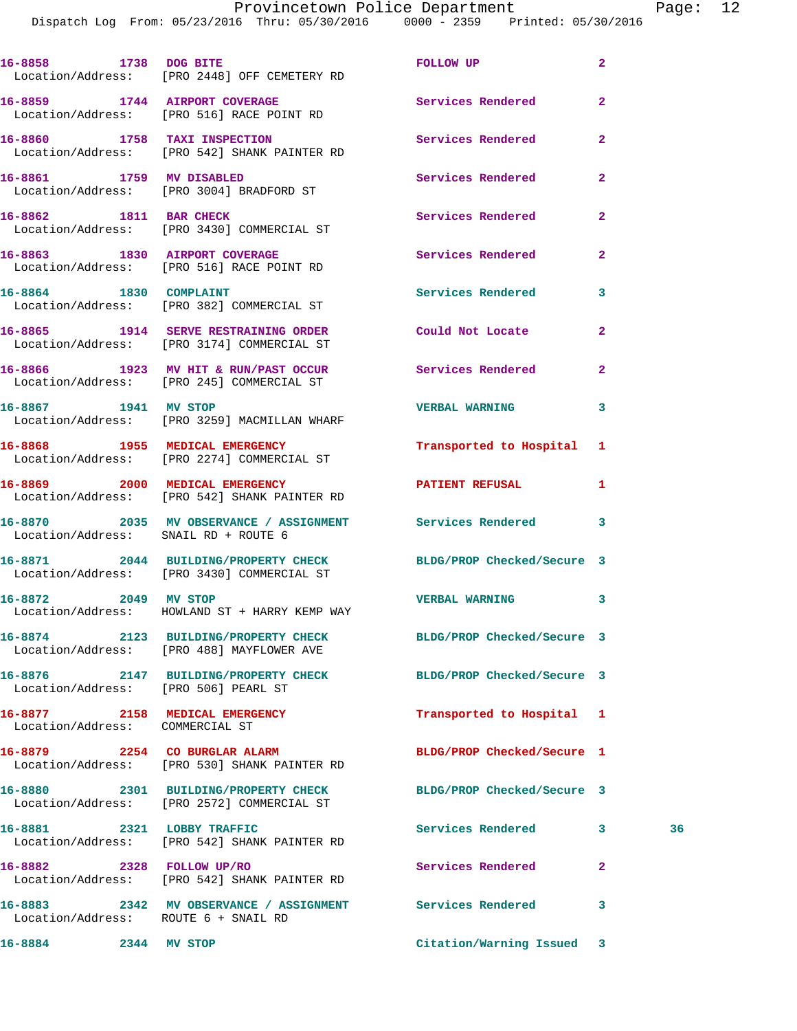|      | -- |  |
|------|----|--|
| 2016 |    |  |

|                                 | 16-8858 1738 DOG BITE<br>Location/Address: [PRO 2448] OFF CEMETERY RD                                         | <b>FOLLOW UP</b>           | $\mathbf{2}$   |    |
|---------------------------------|---------------------------------------------------------------------------------------------------------------|----------------------------|----------------|----|
|                                 | 16-8859 1744 AIRPORT COVERAGE<br>Location/Address: [PRO 516] RACE POINT RD                                    | Services Rendered          | $\mathbf{2}$   |    |
|                                 | 16-8860 1758 TAXI INSPECTION<br>Location/Address: [PRO 542] SHANK PAINTER RD                                  | <b>Services Rendered</b>   | 2              |    |
| 16-8861 1759 MV DISABLED        | Location/Address: [PRO 3004] BRADFORD ST                                                                      | Services Rendered          | $\mathbf{2}$   |    |
|                                 | 16-8862 1811 BAR CHECK<br>Location/Address: [PRO 3430] COMMERCIAL ST                                          | Services Rendered          | $\mathbf{2}$   |    |
|                                 | 16-8863 1830 AIRPORT COVERAGE<br>Location/Address: [PRO 516] RACE POINT RD                                    | <b>Services Rendered</b>   | $\mathbf{2}$   |    |
|                                 | 16-8864 1830 COMPLAINT<br>Location/Address: [PRO 382] COMMERCIAL ST                                           | Services Rendered          | 3              |    |
|                                 | 16-8865 1914 SERVE RESTRAINING ORDER<br>Location/Address: [PRO 3174] COMMERCIAL ST                            | Could Not Locate           | 2              |    |
|                                 | 16-8866 1923 MV HIT & RUN/PAST OCCUR<br>Location/Address: [PRO 245] COMMERCIAL ST                             | Services Rendered          | $\overline{2}$ |    |
|                                 | 16-8867 1941 MV STOP<br>Location/Address: [PRO 3259] MACMILLAN WHARF                                          | <b>VERBAL WARNING</b>      | 3              |    |
|                                 | 16-8868 1955 MEDICAL EMERGENCY<br>Location/Address: [PRO 2274] COMMERCIAL ST                                  | Transported to Hospital 1  |                |    |
|                                 | 16-8869 2000 MEDICAL EMERGENCY<br>Location/Address: [PRO 542] SHANK PAINTER RD                                | <b>PATIENT REFUSAL</b>     | 1              |    |
|                                 | 16-8870 2035 MV OBSERVANCE / ASSIGNMENT Services Rendered 3<br>Location/Address: SNAIL RD + ROUTE 6           |                            |                |    |
|                                 | 16-8871 2044 BUILDING/PROPERTY CHECK BLDG/PROP Checked/Secure 3<br>Location/Address: [PRO 3430] COMMERCIAL ST |                            |                |    |
| 16-8872 2049 MV STOP            | Location/Address: HOWLAND ST + HARRY KEMP WAY                                                                 | <b>VERBAL WARNING</b>      | 3              |    |
|                                 | 16-8874 2123 BUILDING/PROPERTY CHECK<br>Location/Address: [PRO 488] MAYFLOWER AVE                             | BLDG/PROP Checked/Secure 3 |                |    |
|                                 | 16-8876 2147 BUILDING/PROPERTY CHECK<br>Location/Address: [PRO 506] PEARL ST                                  | BLDG/PROP Checked/Secure 3 |                |    |
| Location/Address: COMMERCIAL ST | 16-8877 2158 MEDICAL EMERGENCY                                                                                | Transported to Hospital 1  |                |    |
|                                 | 16-8879 2254 CO BURGLAR ALARM<br>Location/Address: [PRO 530] SHANK PAINTER RD                                 | BLDG/PROP Checked/Secure 1 |                |    |
|                                 | 16-8880 2301 BUILDING/PROPERTY CHECK<br>Location/Address: [PRO 2572] COMMERCIAL ST                            | BLDG/PROP Checked/Secure 3 |                |    |
| 16-8881 2321 LOBBY TRAFFIC      | Location/Address: [PRO 542] SHANK PAINTER RD                                                                  | Services Rendered 3        |                | 36 |
| 16-8882 2328 FOLLOW UP/RO       | Location/Address: [PRO 542] SHANK PAINTER RD                                                                  | Services Rendered          | 2              |    |
|                                 | 16-8883 2342 MV OBSERVANCE / ASSIGNMENT Services Rendered                                                     |                            | 3              |    |
| 16-8884 2344 MV STOP            | Location/Address: ROUTE 6 + SNAIL RD                                                                          | Citation/Warning Issued    | 3              |    |
|                                 |                                                                                                               |                            |                |    |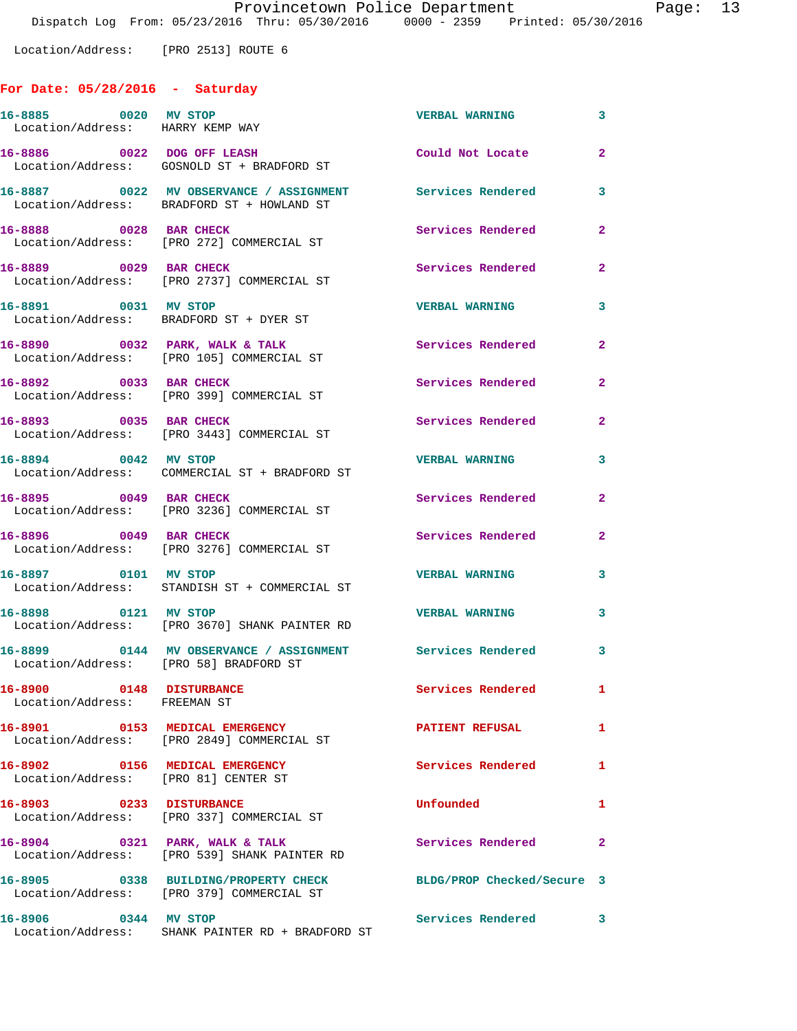Location/Address: [PRO 2513] ROUTE 6

## **For Date: 05/28/2016 - Saturday**

| 16-8885 0020 MV STOP<br>Location/Address: HARRY KEMP WAY               |                                                                                                         | <b>VERBAL WARNING</b>      | 3              |
|------------------------------------------------------------------------|---------------------------------------------------------------------------------------------------------|----------------------------|----------------|
| 16-8886 0022 DOG OFF LEASH                                             | Location/Address: GOSNOLD ST + BRADFORD ST                                                              | Could Not Locate           | $\mathbf{2}$   |
|                                                                        | 16-8887 0022 MV OBSERVANCE / ASSIGNMENT Services Rendered<br>Location/Address: BRADFORD ST + HOWLAND ST |                            | 3              |
| 16-8888 0028 BAR CHECK                                                 | Location/Address: [PRO 272] COMMERCIAL ST                                                               | Services Rendered          | $\mathbf{2}$   |
| 16-8889 0029 BAR CHECK                                                 | Location/Address: [PRO 2737] COMMERCIAL ST                                                              | Services Rendered          | $\mathbf{2}$   |
| 16-8891 0031 MV STOP                                                   | Location/Address: BRADFORD ST + DYER ST                                                                 | <b>VERBAL WARNING</b>      | 3              |
|                                                                        | 16-8890 0032 PARK, WALK & TALK<br>Location/Address: [PRO 105] COMMERCIAL ST                             | Services Rendered          | $\mathbf{2}$   |
| 16-8892 0033 BAR CHECK                                                 | Location/Address: [PRO 399] COMMERCIAL ST                                                               | Services Rendered          | $\mathbf{2}$   |
| 16-8893 0035 BAR CHECK                                                 | Location/Address: [PRO 3443] COMMERCIAL ST                                                              | Services Rendered          | $\overline{a}$ |
| 16-8894 0042 MV STOP                                                   | Location/Address: COMMERCIAL ST + BRADFORD ST                                                           | <b>VERBAL WARNING</b>      | 3              |
| 16-8895 0049 BAR CHECK                                                 | Location/Address: [PRO 3236] COMMERCIAL ST                                                              | Services Rendered          | $\overline{a}$ |
| 16-8896 0049 BAR CHECK                                                 | Location/Address: [PRO 3276] COMMERCIAL ST                                                              | Services Rendered          | $\mathbf{2}$   |
| 16-8897 0101 MV STOP                                                   | Location/Address: STANDISH ST + COMMERCIAL ST                                                           | <b>VERBAL WARNING</b>      | 3              |
| 16-8898 0121 MV STOP                                                   | Location/Address: [PRO 3670] SHANK PAINTER RD                                                           | <b>VERBAL WARNING</b>      | 3              |
| Location/Address: [PRO 58] BRADFORD ST                                 | 16-8899   0144 MV OBSERVANCE / ASSIGNMENT   Services Rendered   3                                       |                            |                |
| 0148 DISTURBANCE<br>16-8900<br>Location/Address: FREEMAN ST            |                                                                                                         | Services Rendered          | 1              |
|                                                                        | 16-8901 0153 MEDICAL EMERGENCY<br>Location/Address: [PRO 2849] COMMERCIAL ST                            | <b>PATIENT REFUSAL</b>     | 1              |
| 16-8902 0156 MEDICAL EMERGENCY<br>Location/Address: [PRO 81] CENTER ST |                                                                                                         | Services Rendered          | 1              |
| 16-8903 0233 DISTURBANCE                                               | Location/Address: [PRO 337] COMMERCIAL ST                                                               | Unfounded                  | 1              |
|                                                                        | 16-8904 0321 PARK, WALK & TALK<br>Location/Address: [PRO 539] SHANK PAINTER RD                          | Services Rendered          | 2              |
|                                                                        | 16-8905 0338 BUILDING/PROPERTY CHECK<br>Location/Address: [PRO 379] COMMERCIAL ST                       | BLDG/PROP Checked/Secure 3 |                |
| 16-8906 0344 MV STOP                                                   | Location/Address: SHANK PAINTER RD + BRADFORD ST                                                        | Services Rendered          | 3              |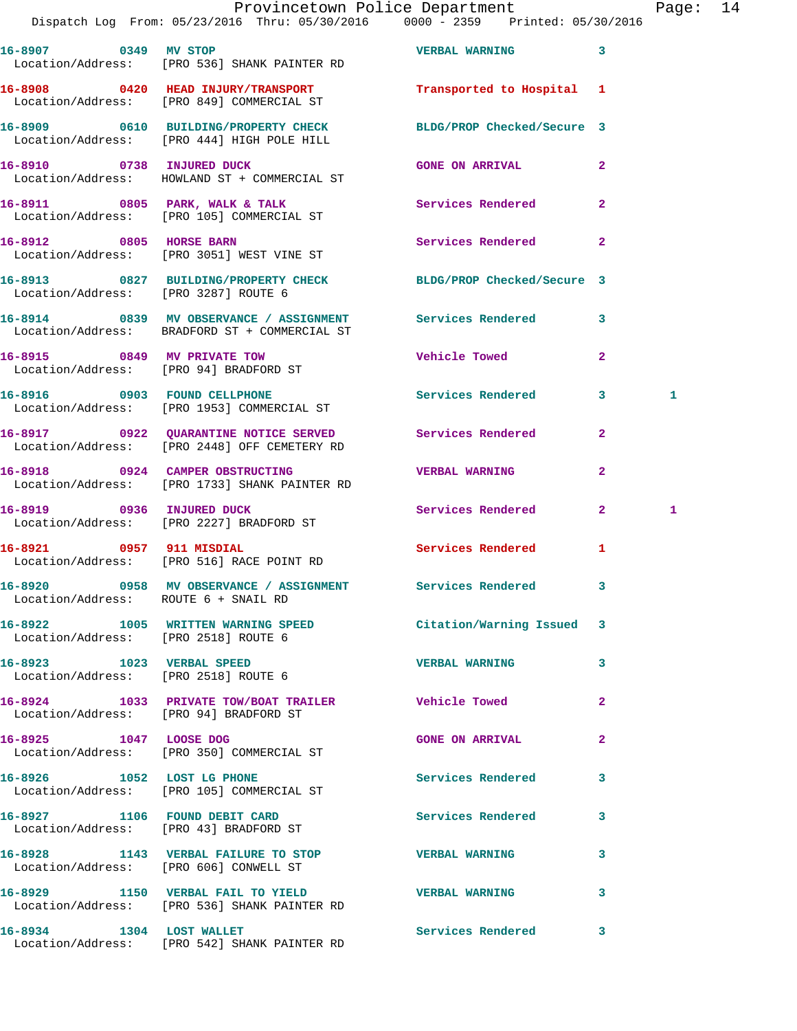| 16-8907 0349 MV STOP                 | Location/Address: [PRO 536] SHANK PAINTER RD                                                                  | <b>VERBAL WARNING</b>     | 3              |   |
|--------------------------------------|---------------------------------------------------------------------------------------------------------------|---------------------------|----------------|---|
|                                      | 16-8908 0420 HEAD INJURY/TRANSPORT<br>Location/Address: [PRO 849] COMMERCIAL ST                               | Transported to Hospital 1 |                |   |
|                                      | 16-8909 0610 BUILDING/PROPERTY CHECK BLDG/PROP Checked/Secure 3<br>Location/Address: [PRO 444] HIGH POLE HILL |                           |                |   |
|                                      | 16-8910 0738 INJURED DUCK<br>Location/Address: HOWLAND ST + COMMERCIAL ST                                     | <b>GONE ON ARRIVAL</b>    | $\mathbf{2}$   |   |
|                                      | 16-8911 0805 PARK, WALK & TALK<br>Location/Address: [PRO 105] COMMERCIAL ST                                   | Services Rendered         | $\overline{a}$ |   |
|                                      | 16-8912 0805 HORSE BARN<br>Location/Address: [PRO 3051] WEST VINE ST                                          | Services Rendered         | $\mathbf{2}$   |   |
| Location/Address: [PRO 3287] ROUTE 6 | 16-8913 0827 BUILDING/PROPERTY CHECK BLDG/PROP Checked/Secure 3                                               |                           |                |   |
|                                      | 16-8914 0839 MV OBSERVANCE / ASSIGNMENT Services Rendered<br>Location/Address: BRADFORD ST + COMMERCIAL ST    |                           | 3              |   |
|                                      | 16-8915 0849 MV PRIVATE TOW<br>Location/Address: [PRO 94] BRADFORD ST                                         | <b>Vehicle Towed</b>      | $\mathbf{2}$   |   |
|                                      | 16-8916 0903 FOUND CELLPHONE<br>Location/Address: [PRO 1953] COMMERCIAL ST                                    | Services Rendered         | 3              | 1 |
|                                      | 16-8917 0922 QUARANTINE NOTICE SERVED<br>Location/Address: [PRO 2448] OFF CEMETERY RD                         | Services Rendered         | $\mathbf{2}$   |   |
|                                      | 16-8918 0924 CAMPER OBSTRUCTING<br>Location/Address: [PRO 1733] SHANK PAINTER RD                              | <b>VERBAL WARNING</b>     | $\mathbf{2}$   |   |
|                                      | 16-8919 0936 INJURED DUCK<br>Location/Address: [PRO 2227] BRADFORD ST                                         | Services Rendered         | $\mathbf{2}$   | 1 |
|                                      | 16-8921 0957 911 MISDIAL<br>Location/Address: [PRO 516] RACE POINT RD                                         | Services Rendered         | 1              |   |
| Location/Address: ROUTE 6 + SNAIL RD |                                                                                                               |                           | 3              |   |
| Location/Address: [PRO 2518] ROUTE 6 | 16-8922 1005 WRITTEN WARNING SPEED                                                                            | Citation/Warning Issued   | 3              |   |
|                                      | 16-8923 1023 VERBAL SPEED<br>Location/Address: [PRO 2518] ROUTE 6                                             | <b>VERBAL WARNING</b>     | 3              |   |
|                                      | 16-8924 1033 PRIVATE TOW/BOAT TRAILER Vehicle Towed<br>Location/Address: [PRO 94] BRADFORD ST                 |                           | $\overline{2}$ |   |
| 16-8925 1047 LOOSE DOG               | Location/Address: [PRO 350] COMMERCIAL ST                                                                     | <b>GONE ON ARRIVAL</b>    | $\mathbf{2}$   |   |
|                                      | 16-8926 1052 LOST LG PHONE<br>Location/Address: [PRO 105] COMMERCIAL ST                                       | Services Rendered         | 3              |   |
|                                      | 16-8927 1106 FOUND DEBIT CARD<br>Location/Address: [PRO 43] BRADFORD ST                                       | Services Rendered         | 3              |   |
|                                      | 16-8928 1143 VERBAL FAILURE TO STOP<br>Location/Address: [PRO 606] CONWELL ST                                 | <b>VERBAL WARNING</b>     | 3              |   |
|                                      | 16-8929 1150 VERBAL FAIL TO YIELD<br>Location/Address: [PRO 536] SHANK PAINTER RD                             | <b>VERBAL WARNING</b>     | 3              |   |
| 16-8934 1304 LOST WALLET             |                                                                                                               | Services Rendered         | $\mathbf{3}$   |   |

Location/Address: [PRO 542] SHANK PAINTER RD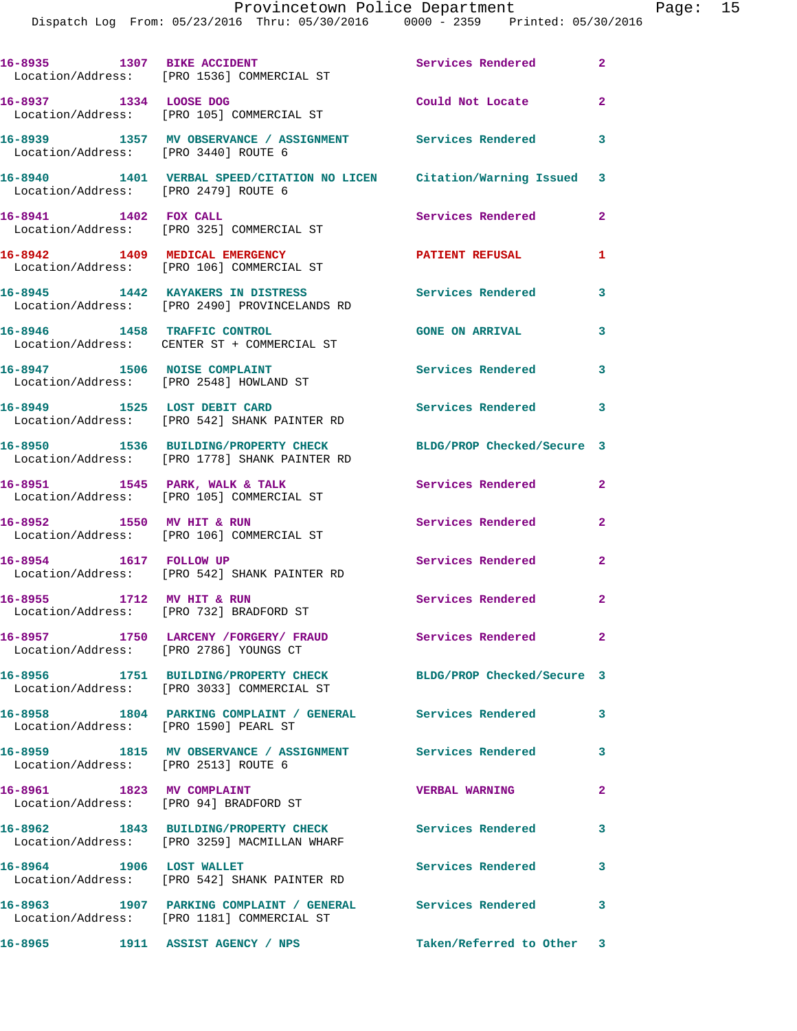| 16-8935 1307 BIKE ACCIDENT                                          | Location/Address: [PRO 1536] COMMERCIAL ST                                                                    | <b>Services Rendered</b>   | $\overline{2}$ |
|---------------------------------------------------------------------|---------------------------------------------------------------------------------------------------------------|----------------------------|----------------|
| 16-8937 1334 LOOSE DOG                                              | Location/Address: [PRO 105] COMMERCIAL ST                                                                     | Could Not Locate           | $\overline{2}$ |
| Location/Address: [PRO 3440] ROUTE 6                                | 16-8939 1357 MV OBSERVANCE / ASSIGNMENT Services Rendered 3                                                   |                            |                |
| Location/Address: [PRO 2479] ROUTE 6                                | 16-8940 1401 VERBAL SPEED/CITATION NO LICEN Citation/Warning Issued 3                                         |                            |                |
| 16-8941 1402 FOX CALL                                               | Location/Address: [PRO 325] COMMERCIAL ST                                                                     | Services Rendered          | $\mathbf{2}$   |
|                                                                     | 16-8942 1409 MEDICAL EMERGENCY<br>Location/Address: [PRO 106] COMMERCIAL ST                                   | <b>PATIENT REFUSAL</b>     | 1              |
|                                                                     | 16-8945 1442 KAYAKERS IN DISTRESS<br>Location/Address: [PRO 2490] PROVINCELANDS RD                            | <b>Services Rendered</b>   | 3              |
|                                                                     | 16-8946 1458 TRAFFIC CONTROL<br>Location/Address: CENTER ST + COMMERCIAL ST                                   | <b>GONE ON ARRIVAL</b>     | 3              |
| 16-8947 1506 NOISE COMPLAINT                                        | Location/Address: [PRO 2548] HOWLAND ST                                                                       | Services Rendered          | 3              |
|                                                                     | 16-8949 1525 LOST DEBIT CARD<br>Location/Address: [PRO 542] SHANK PAINTER RD                                  | <b>Services Rendered</b>   | 3              |
|                                                                     | 16-8950 1536 BUILDING/PROPERTY CHECK<br>Location/Address: [PRO 1778] SHANK PAINTER RD                         | BLDG/PROP Checked/Secure 3 |                |
|                                                                     | 16-8951 1545 PARK, WALK & TALK<br>Location/Address: [PRO 105] COMMERCIAL ST                                   | Services Rendered          | $\overline{2}$ |
| 16-8952 1550 MV HIT & RUN                                           | Location/Address: [PRO 106] COMMERCIAL ST                                                                     | Services Rendered          | $\mathbf{2}$   |
| 16-8954 1617 FOLLOW UP                                              | Location/Address: [PRO 542] SHANK PAINTER RD                                                                  | Services Rendered          | $\overline{2}$ |
| 16-8955 1712 MV HIT & RUN                                           | Location/Address: [PRO 732] BRADFORD ST                                                                       | Services Rendered          | $\mathbf{2}$   |
| Location/Address: [PRO 2786] YOUNGS CT                              | 16-8957 1750 LARCENY / FORGERY / FRAUD                                                                        | Services Rendered 2        |                |
|                                                                     | 16-8956 1751 BUILDING/PROPERTY CHECK BLDG/PROP Checked/Secure 3<br>Location/Address: [PRO 3033] COMMERCIAL ST |                            |                |
| Location/Address: [PRO 1590] PEARL ST                               | 16-8958 1804 PARKING COMPLAINT / GENERAL Services Rendered                                                    |                            | 3              |
| Location/Address: [PRO 2513] ROUTE 6                                | 16-8959 1815 MV OBSERVANCE / ASSIGNMENT Services Rendered                                                     |                            | 3              |
| 16-8961 1823 MV COMPLAINT<br>Location/Address: [PRO 94] BRADFORD ST |                                                                                                               | <b>VERBAL WARNING</b>      | $\mathbf{2}$   |
|                                                                     | 16-8962 1843 BUILDING/PROPERTY CHECK<br>Location/Address: [PRO 3259] MACMILLAN WHARF                          | Services Rendered          | 3              |
| 16-8964 1906 LOST WALLET                                            | Location/Address: [PRO 542] SHANK PAINTER RD                                                                  | Services Rendered          | 3              |
|                                                                     | 16-8963 1907 PARKING COMPLAINT / GENERAL Services Rendered<br>Location/Address: [PRO 1181] COMMERCIAL ST      |                            | 3              |
|                                                                     |                                                                                                               | Taken/Referred to Other 3  |                |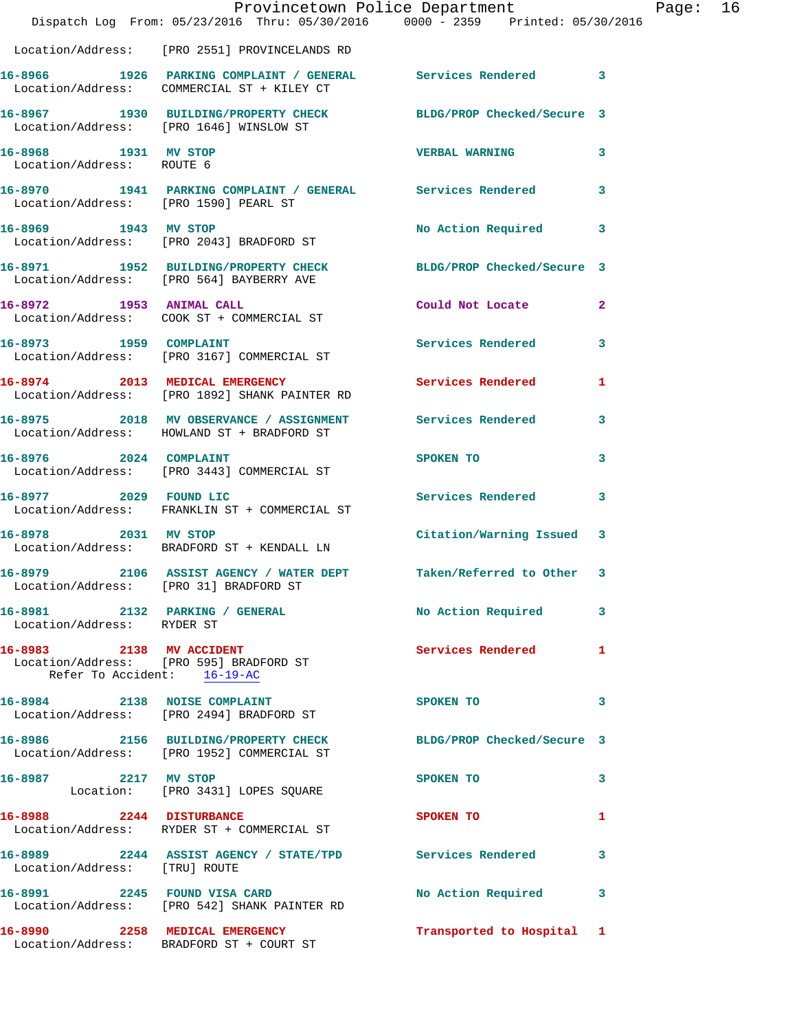|                                                   | Provincetown Police Department                                                                             |                            |                |
|---------------------------------------------------|------------------------------------------------------------------------------------------------------------|----------------------------|----------------|
|                                                   | Dispatch Log From: 05/23/2016 Thru: 05/30/2016 0000 - 2359 Printed: 05/30/2016                             |                            |                |
|                                                   | Location/Address: [PRO 2551] PROVINCELANDS RD                                                              |                            |                |
|                                                   | 16-8966 1926 PARKING COMPLAINT / GENERAL Services Rendered<br>Location/Address: COMMERCIAL ST + KILEY CT   |                            | 3              |
|                                                   | 16-8967 1930 BUILDING/PROPERTY CHECK BLDG/PROP Checked/Secure 3<br>Location/Address: [PRO 1646] WINSLOW ST |                            |                |
| 16-8968 1931 MV STOP<br>Location/Address: ROUTE 6 |                                                                                                            | <b>VERBAL WARNING</b>      | 3              |
|                                                   | 16-8970 1941 PARKING COMPLAINT / GENERAL Services Rendered<br>Location/Address: [PRO 1590] PEARL ST        |                            | 3              |
| 16-8969 1943 MV STOP                              | Location/Address: [PRO 2043] BRADFORD ST                                                                   | No Action Required         | 3              |
|                                                   | 16-8971 1952 BUILDING/PROPERTY CHECK<br>Location/Address: [PRO 564] BAYBERRY AVE                           | BLDG/PROP Checked/Secure 3 |                |
| 16-8972 1953 ANIMAL CALL                          | Location/Address: COOK ST + COMMERCIAL ST                                                                  | Could Not Locate           | $\overline{2}$ |
| 16-8973 1959 COMPLAINT                            | Location/Address: [PRO 3167] COMMERCIAL ST                                                                 | <b>Services Rendered</b>   | 3              |
| 16-8974 2013 MEDICAL EMERGENCY                    | Location/Address: [PRO 1892] SHANK PAINTER RD                                                              | Services Rendered          | 1              |
|                                                   | 16-8975 2018 MV OBSERVANCE / ASSIGNMENT<br>Location/Address: HOWLAND ST + BRADFORD ST                      | <b>Services Rendered</b>   | 3              |
| 16-8976 2024 COMPLAINT                            | Location/Address: [PRO 3443] COMMERCIAL ST                                                                 | SPOKEN TO                  | 3              |
| 16-8977 2029 FOUND LIC                            | Location/Address: FRANKLIN ST + COMMERCIAL ST                                                              | <b>Services Rendered</b>   | 3              |
| 16-8978 2031 MV STOP                              | Location/Address: BRADFORD ST + KENDALL LN                                                                 | Citation/Warning Issued    | 3              |
|                                                   | 16-8979 2106 ASSIST AGENCY / WATER DEPT Taken/Referred to Other<br>Location/Address: [PRO 31] BRADFORD ST  |                            | 3              |
| Location/Address: RYDER ST                        | 16-8981 2132 PARKING / GENERAL                                                                             | No Action Required         | 3              |
|                                                   | 16-8983 2138 MV ACCIDENT<br>Location/Address: [PRO 595] BRADFORD ST<br>Refer To Accident: 16-19-AC         | Services Rendered          | 1              |
|                                                   | 16-8984 2138 NOISE COMPLAINT<br>Location/Address: [PRO 2494] BRADFORD ST                                   | SPOKEN TO                  | 3              |
|                                                   | 16-8986 2156 BUILDING/PROPERTY CHECK<br>Location/Address: [PRO 1952] COMMERCIAL ST                         | BLDG/PROP Checked/Secure 3 |                |
| 16-8987 2217 MV STOP                              | Location: [PRO 3431] LOPES SQUARE                                                                          | SPOKEN TO                  | 3              |
| 16-8988 2244 DISTURBANCE                          | Location/Address: RYDER ST + COMMERCIAL ST                                                                 | SPOKEN TO                  | 1              |
| Location/Address: [TRU] ROUTE                     | 16-8989 2244 ASSIST AGENCY / STATE/TPD Services Rendered                                                   |                            | 3              |
|                                                   | 16-8991 2245 FOUND VISA CARD<br>Location/Address: [PRO 542] SHANK PAINTER RD                               | No Action Required         | 3              |
|                                                   | 16-8990 2258 MEDICAL EMERGENCY<br>Location/Address: BRADFORD ST + COURT ST                                 | Transported to Hospital    | 1              |

Page: 16<br>6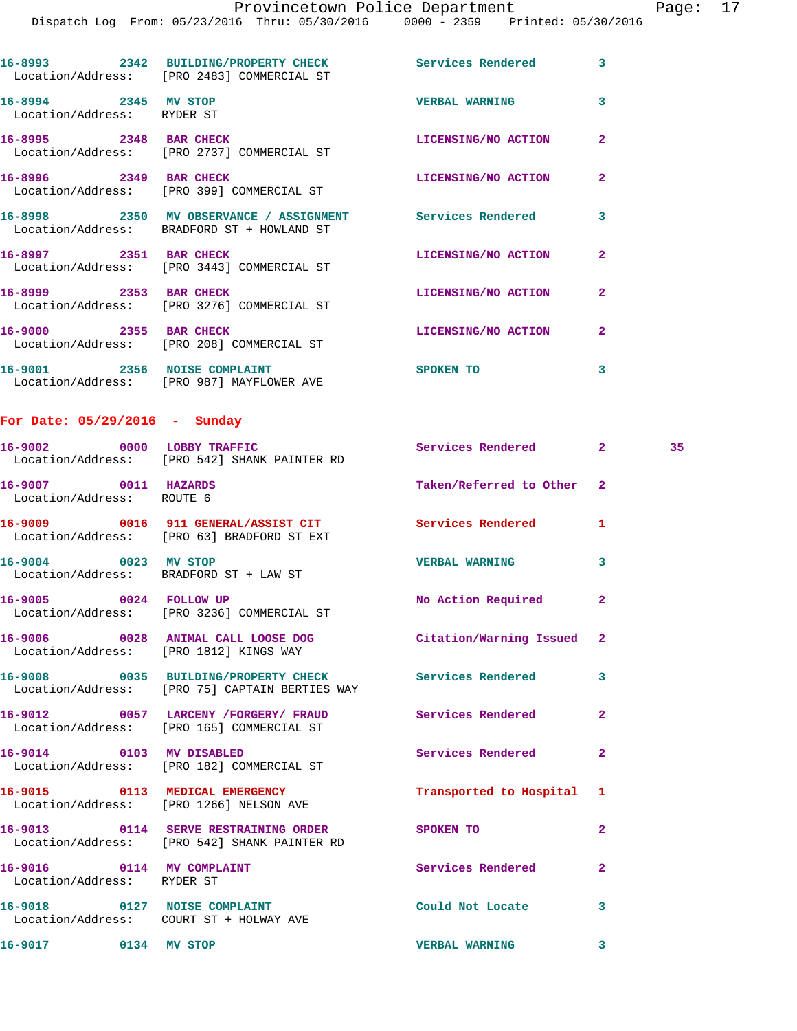|                                                                | Dispatch Log From: 05/23/2016 Thru: 05/30/2016 0000 - 2359 Printed: 05/30/2016                             |                           |                |    |
|----------------------------------------------------------------|------------------------------------------------------------------------------------------------------------|---------------------------|----------------|----|
|                                                                | 16-8993 2342 BUILDING/PROPERTY CHECK Services Rendered 3<br>Location/Address: [PRO 2483] COMMERCIAL ST     |                           |                |    |
| 16-8994 2345 MV STOP<br>Location/Address: RYDER ST             |                                                                                                            | <b>VERBAL WARNING</b>     | 3              |    |
| 16-8995 2348 BAR CHECK                                         | Location/Address: [PRO 2737] COMMERCIAL ST                                                                 | LICENSING/NO ACTION       | $\overline{2}$ |    |
|                                                                | 16-8996 2349 BAR CHECK<br>Location/Address: [PRO 399] COMMERCIAL ST                                        | LICENSING/NO ACTION       | $\mathbf{2}$   |    |
|                                                                | 16-8998 2350 MV OBSERVANCE / ASSIGNMENT Services Rendered<br>Location/Address: BRADFORD ST + HOWLAND ST    |                           | 3              |    |
|                                                                | 16-8997 2351 BAR CHECK<br>Location/Address: [PRO 3443] COMMERCIAL ST                                       | LICENSING/NO ACTION       | $\mathbf{2}$   |    |
| 16-8999 2353 BAR CHECK                                         | Location/Address: [PRO 3276] COMMERCIAL ST                                                                 | LICENSING/NO ACTION       | $\mathbf{2}$   |    |
|                                                                | 16-9000 2355 BAR CHECK<br>Location/Address: [PRO 208] COMMERCIAL ST                                        | LICENSING/NO ACTION       | $\mathbf{2}$   |    |
|                                                                | 16-9001 2356 NOISE COMPLAINT<br>Location/Address: [PRO 987] MAYFLOWER AVE                                  | SPOKEN TO                 | 3              |    |
| For Date: $05/29/2016$ - Sunday                                |                                                                                                            |                           |                |    |
|                                                                | 16-9002 0000 LOBBY TRAFFIC<br>Location/Address: [PRO 542] SHANK PAINTER RD                                 | Services Rendered 2       |                | 35 |
| 16-9007 0011 HAZARDS<br>Location/Address: ROUTE 6              |                                                                                                            | Taken/Referred to Other 2 |                |    |
|                                                                | 16-9009 0016 911 GENERAL/ASSIST CIT Services Rendered<br>Location/Address: [PRO 63] BRADFORD ST EXT        |                           | 1              |    |
| 16-9004 0023 MV STOP<br>Location/Address: BRADFORD ST + LAW ST |                                                                                                            | VERBAL WARNING 3          |                |    |
| 16-9005 0024 FOLLOW UP                                         | Location/Address: [PRO 3236] COMMERCIAL ST                                                                 | No Action Required 2      |                |    |
|                                                                | 16-9006 0028 ANIMAL CALL LOOSE DOG Citation/Warning Issued 2<br>Location/Address: [PRO 1812] KINGS WAY     |                           |                |    |
|                                                                | 16-9008 0035 BUILDING/PROPERTY CHECK Services Rendered 3<br>Location/Address: [PRO 75] CAPTAIN BERTIES WAY |                           |                |    |
|                                                                | 16-9012 0057 LARCENY /FORGERY/ FRAUD Services Rendered<br>Location/Address: [PRO 165] COMMERCIAL ST        |                           | $\mathbf{2}$   |    |
| 16-9014 0103 MV DISABLED                                       | Location/Address: [PRO 182] COMMERCIAL ST                                                                  | Services Rendered         | $\mathbf{2}$   |    |
|                                                                | 16-9015 0113 MEDICAL EMERGENCY<br>Location/Address: [PRO 1266] NELSON AVE                                  | Transported to Hospital 1 |                |    |
|                                                                | 16-9013 0114 SERVE RESTRAINING ORDER<br>Location/Address: [PRO 542] SHANK PAINTER RD                       | <b>SPOKEN TO</b>          | $\mathbf{2}$   |    |
| 16-9016 0114 MV COMPLAINT<br>Location/Address: RYDER ST        |                                                                                                            | Services Rendered         | $\mathbf{2}$   |    |
| 16-9018 0127 NOISE COMPLAINT                                   | Location/Address: COURT ST + HOLWAY AVE                                                                    | Could Not Locate          | 3              |    |
| 16-9017 0134 MV STOP                                           |                                                                                                            | <b>VERBAL WARNING</b>     |                |    |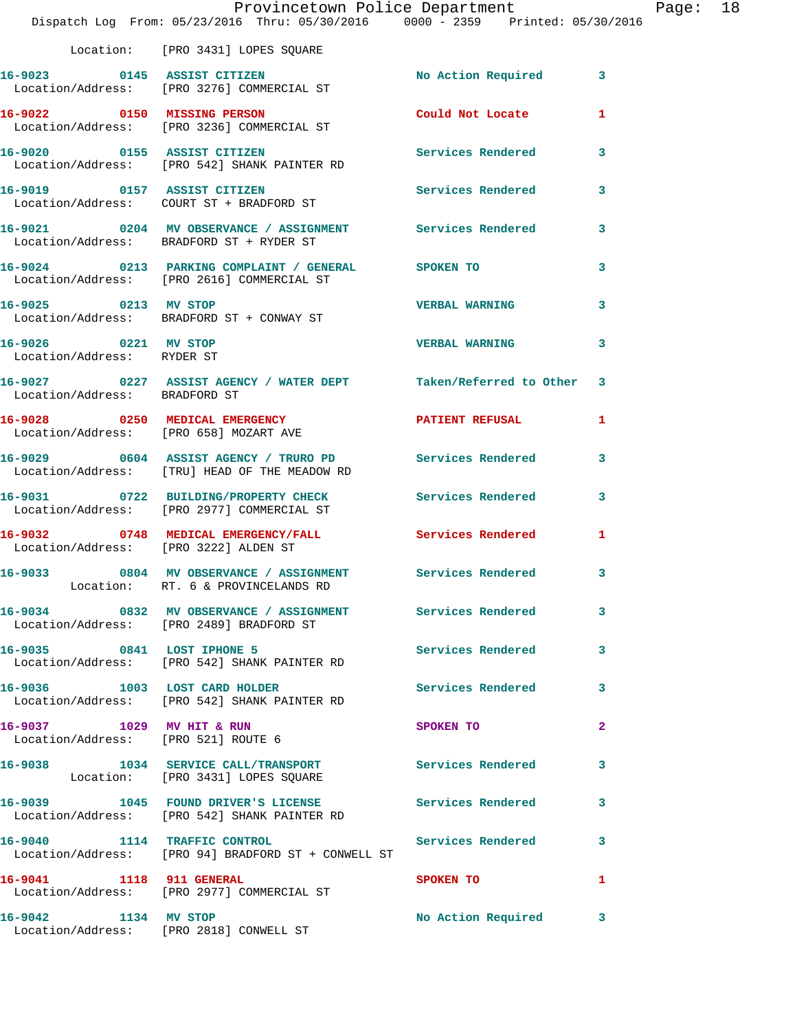|                                                    | Dispatch Log From: 05/23/2016 Thru: 05/30/2016 0000 - 2359 Printed: 05/30/2016                           | Provincetown Police Department Page: 18                                                                       |              |  |
|----------------------------------------------------|----------------------------------------------------------------------------------------------------------|---------------------------------------------------------------------------------------------------------------|--------------|--|
|                                                    | Location: [PRO 3431] LOPES SQUARE                                                                        |                                                                                                               |              |  |
|                                                    | 16-9023 0145 ASSIST CITIZEN<br>Location/Address: [PRO 3276] COMMERCIAL ST                                | No Action Required 3                                                                                          |              |  |
|                                                    | 16-9022 0150 MISSING PERSON<br>Location/Address: [PRO 3236] COMMERCIAL ST                                | Could Not Locate                                                                                              | 1            |  |
|                                                    | 16-9020 0155 ASSIST CITIZEN<br>Location/Address: [PRO 542] SHANK PAINTER RD                              | Services Rendered 3                                                                                           |              |  |
|                                                    | 16-9019  0157  ASSIST CITIZEN  Services Rendered  3<br>Location/Address: COURT ST + BRADFORD ST          |                                                                                                               |              |  |
|                                                    | 16-9021 0204 MV OBSERVANCE / ASSIGNMENT Services Rendered 3<br>Location/Address: BRADFORD ST + RYDER ST  |                                                                                                               |              |  |
|                                                    | 16-9024 0213 PARKING COMPLAINT / GENERAL SPOKEN TO<br>Location/Address: [PRO 2616] COMMERCIAL ST         |                                                                                                               | 3            |  |
| 16-9025 0213 MV STOP                               | Location/Address: BRADFORD ST + CONWAY ST                                                                | <b>VERBAL WARNING</b>                                                                                         | $\mathbf{3}$ |  |
| 16-9026 0221 MV STOP<br>Location/Address: RYDER ST |                                                                                                          | <b>VERBAL WARNING</b>                                                                                         | 3            |  |
| Location/Address: BRADFORD ST                      | 16-9027 0227 ASSIST AGENCY / WATER DEPT Taken/Referred to Other 3                                        |                                                                                                               |              |  |
| Location/Address: [PRO 658] MOZART AVE             | 16-9028 0250 MEDICAL EMERGENCY PATIENT REFUSAL                                                           |                                                                                                               | $\mathbf{1}$ |  |
|                                                    | 16-9029 0604 ASSIST AGENCY / TRURO PD Services Rendered<br>Location/Address: [TRU] HEAD OF THE MEADOW RD |                                                                                                               | 3            |  |
|                                                    | 16-9031 0722 BUILDING/PROPERTY CHECK Services Rendered 3<br>Location/Address: [PRO 2977] COMMERCIAL ST   |                                                                                                               |              |  |
| Location/Address: [PRO 3222] ALDEN ST              | 16-9032 0748 MEDICAL EMERGENCY/FALL Services Rendered                                                    |                                                                                                               | 1            |  |
|                                                    | 16-9033 0804 MV OBSERVANCE / ASSIGNMENT Services Rendered 3<br>Location: RT. 6 & PROVINCELANDS RD        |                                                                                                               |              |  |
|                                                    | 16-9034 0832 MV OBSERVANCE / ASSIGNMENT Services Rendered<br>Location/Address: [PRO 2489] BRADFORD ST    |                                                                                                               | 3            |  |
|                                                    | 16-9035 0841 LOST IPHONE 5<br>Location/Address: [PRO 542] SHANK PAINTER RD                               | Services Rendered                                                                                             | 3            |  |
|                                                    | 16-9036 1003 LOST CARD HOLDER Services Rendered 3<br>Location/Address: [PRO 542] SHANK PAINTER RD        |                                                                                                               |              |  |
| Location/Address: [PRO 521] ROUTE 6                | 16-9037 1029 MV HIT & RUN                                                                                | SPOKEN TO AND TO A STATE OF THE STATE OF THE STATE OF THE STATE OF THE STATE OF THE STATE OF THE STATE OF THE | $\mathbf{2}$ |  |
|                                                    | 16-9038 1034 SERVICE CALL/TRANSPORT Services Rendered 3<br>Location: [PRO 3431] LOPES SQUARE             |                                                                                                               |              |  |
|                                                    | 16-9039 1045 FOUND DRIVER'S LICENSE Services Rendered<br>Location/Address: [PRO 542] SHANK PAINTER RD    |                                                                                                               | 3            |  |
| 16-9040 1114 TRAFFIC CONTROL                       | Location/Address: [PRO 94] BRADFORD ST + CONWELL ST                                                      | <b>Services Rendered</b>                                                                                      | 3            |  |
|                                                    | 16-9041 1118 911 GENERAL<br>Location/Address: [PRO 2977] COMMERCIAL ST                                   | SPOKEN TO                                                                                                     | 1            |  |
| 16-9042 1134 MV STOP                               | Location/Address: [PRO 2818] CONWELL ST                                                                  | No Action Required 3                                                                                          |              |  |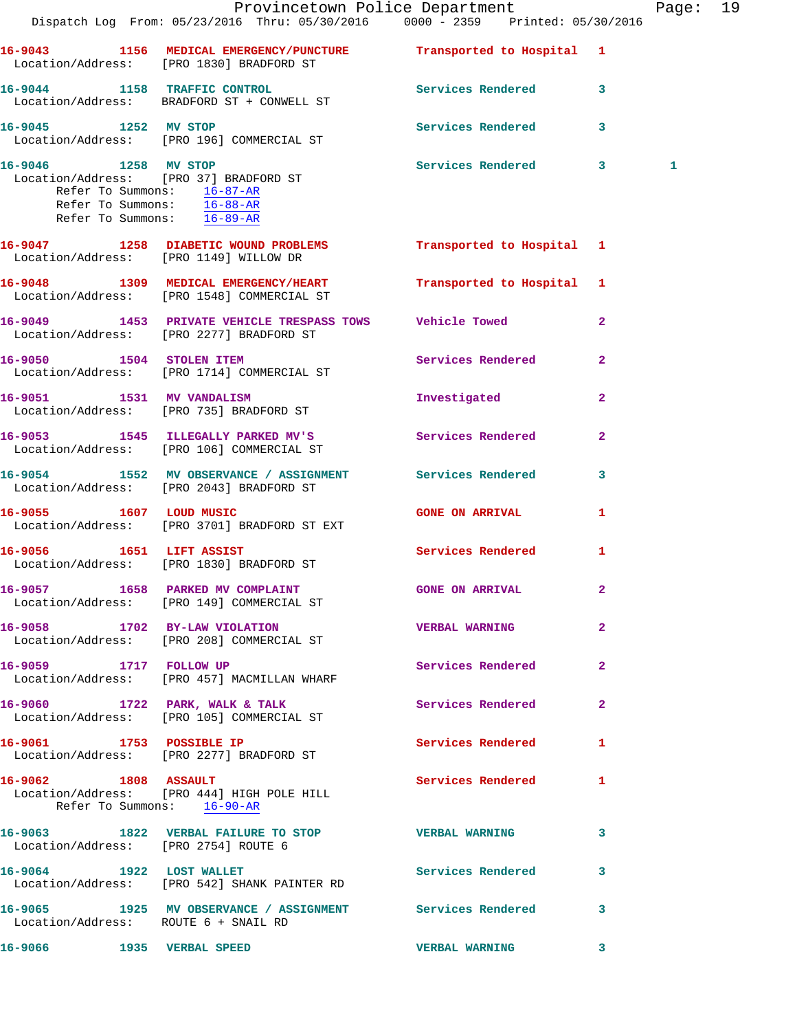|                                                    | Dispatch Log From: 05/23/2016 Thru: 05/30/2016 0000 - 2359 Printed: 05/30/2016                                | Provincetown Police Department |                | Page: 19 |  |
|----------------------------------------------------|---------------------------------------------------------------------------------------------------------------|--------------------------------|----------------|----------|--|
|                                                    | 16-9043 1156 MEDICAL EMERGENCY/PUNCTURE Transported to Hospital 1<br>Location/Address: [PRO 1830] BRADFORD ST |                                |                |          |  |
|                                                    | 16-9044 1158 TRAFFIC CONTROL Services Rendered 3<br>Location/Address: BRADFORD ST + CONWELL ST                |                                |                |          |  |
|                                                    | 16-9045 1252 MV STOP<br>Location/Address: [PRO 196] COMMERCIAL ST                                             | Services Rendered 3            |                |          |  |
| 16-9046 1258 MV STOP<br>Refer To Summons: 16-87-AR | Location/Address: [PRO 37] BRADFORD ST<br>Refer To Summons: 16-88-AR<br>Refer To Summons: 16-89-AR            | Services Rendered 3            |                | 1        |  |
|                                                    | 16-9047 1258 DIABETIC WOUND PROBLEMS<br>Location/Address: [PRO 1149] WILLOW DR                                | Transported to Hospital 1      |                |          |  |
|                                                    | 16-9048 1309 MEDICAL EMERGENCY/HEART<br>Location/Address: [PRO 1548] COMMERCIAL ST                            | Transported to Hospital 1      |                |          |  |
|                                                    | 16-9049 1453 PRIVATE VEHICLE TRESPASS TOWS Vehicle Towed<br>Location/Address: [PRO 2277] BRADFORD ST          |                                | $\mathbf{2}$   |          |  |
|                                                    | 16-9050 1504 STOLEN ITEM<br>Location/Address: [PRO 1714] COMMERCIAL ST                                        | Services Rendered 2            |                |          |  |
|                                                    | 16-9051 1531 MV VANDALISM<br>Location/Address: [PRO 735] BRADFORD ST                                          | Investigated                   | $\overline{a}$ |          |  |
|                                                    | 16-9053 1545 ILLEGALLY PARKED MV'S<br>Location/Address: [PRO 106] COMMERCIAL ST                               | Services Rendered 2            |                |          |  |
|                                                    | 16-9054 1552 MV OBSERVANCE / ASSIGNMENT Services Rendered<br>Location/Address: [PRO 2043] BRADFORD ST         |                                | 3              |          |  |
|                                                    | 16-9055 1607 LOUD MUSIC CONE ON ARRIVAL 1<br>Location/Address: [PRO 3701] BRADFORD ST EXT                     |                                |                |          |  |
|                                                    | 16-9056 1651 LIFT ASSIST<br>Location/Address: [PRO 1830] BRADFORD ST                                          | Services Rendered              | 1              |          |  |
|                                                    | 16-9057 1658 PARKED MV COMPLAINT<br>Location/Address: [PRO 149] COMMERCIAL ST                                 | <b>GONE ON ARRIVAL</b>         | 2              |          |  |
|                                                    | 16-9058 1702 BY-LAW VIOLATION<br>Location/Address: [PRO 208] COMMERCIAL ST                                    | <b>VERBAL WARNING</b>          | $\mathbf{2}$   |          |  |
|                                                    | 16-9059 1717 FOLLOW UP<br>Location/Address: [PRO 457] MACMILLAN WHARF                                         | Services Rendered              | $\mathbf{2}$   |          |  |
|                                                    | 16-9060 1722 PARK, WALK & TALK Services Rendered<br>Location/Address: [PRO 105] COMMERCIAL ST                 |                                | $\mathbf{2}$   |          |  |
|                                                    | 16-9061 1753 POSSIBLE IP<br>Location/Address: [PRO 2277] BRADFORD ST                                          | Services Rendered 1            |                |          |  |
| 16-9062 1808 ASSAULT                               | Location/Address: [PRO 444] HIGH POLE HILL<br>Refer To Summons: 16-90-AR                                      | Services Rendered              | 1              |          |  |
|                                                    | 16-9063 1822 VERBAL FAILURE TO STOP VERBAL WARNING 3<br>Location/Address: [PRO 2754] ROUTE 6                  |                                |                |          |  |
|                                                    | 16-9064 1922 LOST WALLET<br>Location/Address: [PRO 542] SHANK PAINTER RD                                      | Services Rendered 3            |                |          |  |
|                                                    | 16-9065 1925 MV OBSERVANCE / ASSIGNMENT Services Rendered 3<br>Location/Address: ROUTE 6 + SNAIL RD           |                                |                |          |  |
|                                                    | 16-9066 1935 VERBAL SPEED                                                                                     | <b>VERBAL WARNING</b>          | 3              |          |  |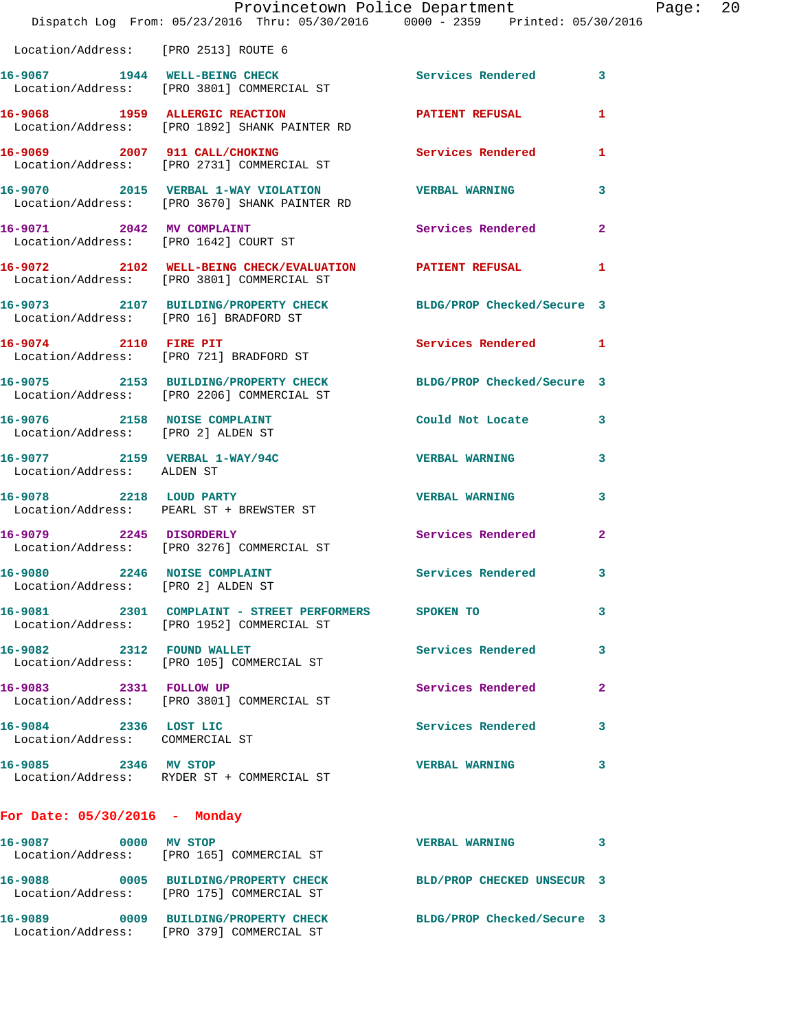|                                                                    | Provincetown Police Department<br>Dispatch Log From: 05/23/2016 Thru: 05/30/2016 0000 - 2359 Printed: 05/30/2016 |                            |                |
|--------------------------------------------------------------------|------------------------------------------------------------------------------------------------------------------|----------------------------|----------------|
| Location/Address: [PRO 2513] ROUTE 6                               |                                                                                                                  |                            |                |
|                                                                    | 16-9067 1944 WELL-BEING CHECK Services Rendered<br>Location/Address: [PRO 3801] COMMERCIAL ST                    |                            | 3              |
|                                                                    | 16-9068 1959 ALLERGIC REACTION<br>Location/Address: [PRO 1892] SHANK PAINTER RD                                  | PATIENT REFUSAL            | 1              |
|                                                                    | 16-9069 2007 911 CALL/CHOKING<br>Location/Address: [PRO 2731] COMMERCIAL ST                                      | <b>Services Rendered</b>   | 1              |
|                                                                    | 16-9070 2015 VERBAL 1-WAY VIOLATION VERBAL WARNING<br>Location/Address: [PRO 3670] SHANK PAINTER RD              |                            | 3              |
| Location/Address: [PRO 1642] COURT ST                              | 16-9071 2042 MV COMPLAINT Services Rendered                                                                      |                            | $\mathbf{2}$   |
|                                                                    | 16-9072 2102 WELL-BEING CHECK/EVALUATION PATIENT REFUSAL<br>Location/Address: [PRO 3801] COMMERCIAL ST           |                            | 1              |
| Location/Address: [PRO 16] BRADFORD ST                             | 16-9073 2107 BUILDING/PROPERTY CHECK BLDG/PROP Checked/Secure 3                                                  |                            |                |
| 16-9074 2110 FIRE PIT                                              | Location/Address: [PRO 721] BRADFORD ST                                                                          | Services Rendered          | 1              |
|                                                                    | 16-9075 2153 BUILDING/PROPERTY CHECK<br>Location/Address: [PRO 2206] COMMERCIAL ST                               | BLDG/PROP Checked/Secure 3 |                |
| 16-9076 2158 NOISE COMPLAINT<br>Location/Address: [PRO 2] ALDEN ST |                                                                                                                  | Could Not Locate           | 3              |
| Location/Address: ALDEN ST                                         | 16-9077 2159 VERBAL 1-WAY/94C                                                                                    | <b>VERBAL WARNING</b>      | 3              |
|                                                                    | 16-9078 2218 LOUD PARTY<br>Location/Address: PEARL ST + BREWSTER ST                                              | <b>VERBAL WARNING</b>      | 3              |
| 16-9079 2245 DISORDERLY                                            | Location/Address: [PRO 3276] COMMERCIAL ST                                                                       | Services Rendered          | $\overline{2}$ |
| 16-9080 2246 NOISE COMPLAINT<br>Location/Address: [PRO 2] ALDEN ST |                                                                                                                  | <b>Services Rendered</b>   | $\mathbf{3}$   |
|                                                                    | 16-9081 2301 COMPLAINT - STREET PERFORMERS SPOKEN TO<br>Location/Address: [PRO 1952] COMMERCIAL ST               |                            | 3              |
| 16-9082 2312 FOUND WALLET                                          | Location/Address: [PRO 105] COMMERCIAL ST                                                                        | <b>Services Rendered</b>   | 3              |
| 16-9083 2331 FOLLOW UP                                             | Location/Address: [PRO 3801] COMMERCIAL ST                                                                       | Services Rendered          | 2              |
| 16-9084 2336 LOST LIC<br>Location/Address: COMMERCIAL ST           |                                                                                                                  | <b>Services Rendered</b>   | 3              |
| 16-9085 2346 MV STOP                                               | Location/Address: RYDER ST + COMMERCIAL ST                                                                       | <b>VERBAL WARNING</b>      | 3              |
| For Date: 05/30/2016 - Monday                                      |                                                                                                                  |                            |                |
| 16-9087 0000 MV STOP                                               | Location/Address: [PRO 165] COMMERCIAL ST                                                                        | <b>VERBAL WARNING</b>      | 3              |
|                                                                    | 16-9088 0005 BUILDING/PROPERTY CHECK<br>Location/Address: [PRO 175] COMMERCIAL ST                                | BLD/PROP CHECKED UNSECUR 3 |                |
|                                                                    | 16-9089 0009 BUILDING/PROPERTY CHECK BLDG/PROP Checked/Secure 3                                                  |                            |                |

Location/Address: [PRO 379] COMMERCIAL ST

Page: 20